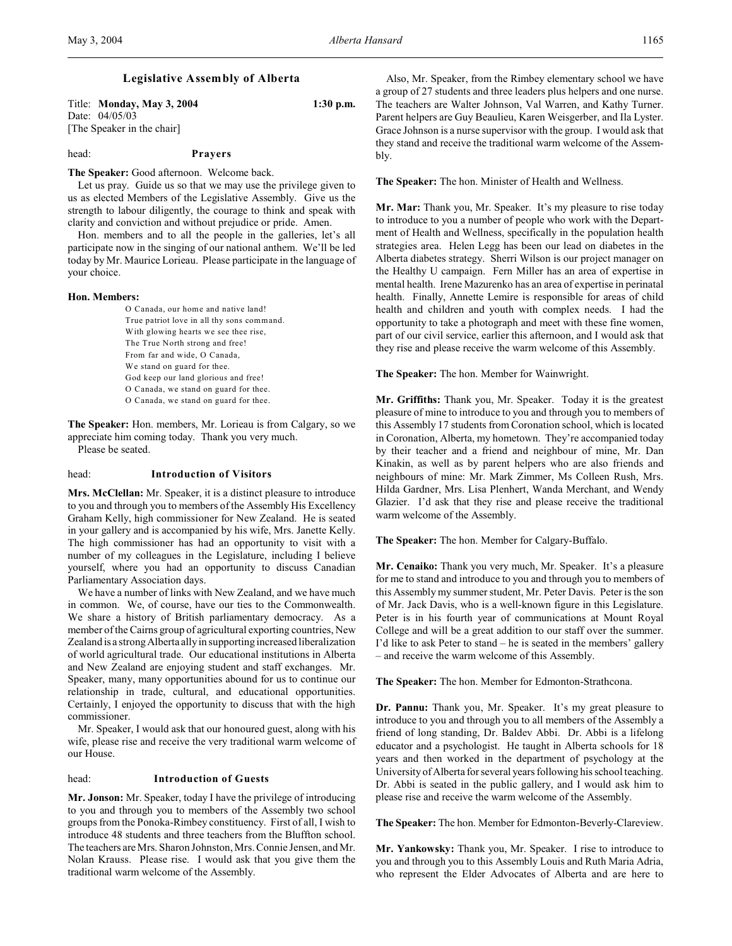Title: **Monday, May 3, 2004 1:30 p.m.** Date: 04/05/03 [The Speaker in the chair]

# head: **Prayers**

**The Speaker:** Good afternoon. Welcome back.

Let us pray. Guide us so that we may use the privilege given to us as elected Members of the Legislative Assembly. Give us the strength to labour diligently, the courage to think and speak with clarity and conviction and without prejudice or pride. Amen.

Hon. members and to all the people in the galleries, let's all participate now in the singing of our national anthem. We'll be led today by Mr. Maurice Lorieau. Please participate in the language of your choice.

#### **Hon. Members:**

O Canada, our home and native land! True patriot love in all thy sons command. With glowing hearts we see thee rise, The True North strong and free! From far and wide, O Canada, We stand on guard for thee. God keep our land glorious and free! O Canada, we stand on guard for thee. O Canada, we stand on guard for thee.

**The Speaker:** Hon. members, Mr. Lorieau is from Calgary, so we appreciate him coming today. Thank you very much.

Please be seated.

## head: **Introduction of Visitors**

**Mrs. McClellan:** Mr. Speaker, it is a distinct pleasure to introduce to you and through you to members of the Assembly His Excellency Graham Kelly, high commissioner for New Zealand. He is seated in your gallery and is accompanied by his wife, Mrs. Janette Kelly. The high commissioner has had an opportunity to visit with a number of my colleagues in the Legislature, including I believe yourself, where you had an opportunity to discuss Canadian Parliamentary Association days.

We have a number of links with New Zealand, and we have much in common. We, of course, have our ties to the Commonwealth. We share a history of British parliamentary democracy. As a member of the Cairns group of agricultural exporting countries, New Zealand is a strong Alberta ally in supporting increased liberalization of world agricultural trade. Our educational institutions in Alberta and New Zealand are enjoying student and staff exchanges. Mr. Speaker, many, many opportunities abound for us to continue our relationship in trade, cultural, and educational opportunities. Certainly, I enjoyed the opportunity to discuss that with the high commissioner.

Mr. Speaker, I would ask that our honoured guest, along with his wife, please rise and receive the very traditional warm welcome of our House.

#### head: **Introduction of Guests**

**Mr. Jonson:** Mr. Speaker, today I have the privilege of introducing to you and through you to members of the Assembly two school groups from the Ponoka-Rimbey constituency. First of all, I wish to introduce 48 students and three teachers from the Bluffton school. The teachers are Mrs. Sharon Johnston, Mrs. Connie Jensen, and Mr. Nolan Krauss. Please rise. I would ask that you give them the traditional warm welcome of the Assembly.

Also, Mr. Speaker, from the Rimbey elementary school we have a group of 27 students and three leaders plus helpers and one nurse. The teachers are Walter Johnson, Val Warren, and Kathy Turner. Parent helpers are Guy Beaulieu, Karen Weisgerber, and Ila Lyster. Grace Johnson is a nurse supervisor with the group. I would ask that they stand and receive the traditional warm welcome of the Assembly.

**The Speaker:** The hon. Minister of Health and Wellness.

**Mr. Mar:** Thank you, Mr. Speaker. It's my pleasure to rise today to introduce to you a number of people who work with the Department of Health and Wellness, specifically in the population health strategies area. Helen Legg has been our lead on diabetes in the Alberta diabetes strategy. Sherri Wilson is our project manager on the Healthy U campaign. Fern Miller has an area of expertise in mental health. Irene Mazurenko has an area of expertise in perinatal health. Finally, Annette Lemire is responsible for areas of child health and children and youth with complex needs. I had the opportunity to take a photograph and meet with these fine women, part of our civil service, earlier this afternoon, and I would ask that they rise and please receive the warm welcome of this Assembly.

**The Speaker:** The hon. Member for Wainwright.

**Mr. Griffiths:** Thank you, Mr. Speaker. Today it is the greatest pleasure of mine to introduce to you and through you to members of this Assembly 17 students from Coronation school, which is located in Coronation, Alberta, my hometown. They're accompanied today by their teacher and a friend and neighbour of mine, Mr. Dan Kinakin, as well as by parent helpers who are also friends and neighbours of mine: Mr. Mark Zimmer, Ms Colleen Rush, Mrs. Hilda Gardner, Mrs. Lisa Plenhert, Wanda Merchant, and Wendy Glazier. I'd ask that they rise and please receive the traditional warm welcome of the Assembly.

**The Speaker:** The hon. Member for Calgary-Buffalo.

**Mr. Cenaiko:** Thank you very much, Mr. Speaker. It's a pleasure for me to stand and introduce to you and through you to members of this Assembly my summer student, Mr. Peter Davis. Peter is the son of Mr. Jack Davis, who is a well-known figure in this Legislature. Peter is in his fourth year of communications at Mount Royal College and will be a great addition to our staff over the summer. I'd like to ask Peter to stand – he is seated in the members' gallery – and receive the warm welcome of this Assembly.

**The Speaker:** The hon. Member for Edmonton-Strathcona.

**Dr. Pannu:** Thank you, Mr. Speaker. It's my great pleasure to introduce to you and through you to all members of the Assembly a friend of long standing, Dr. Baldev Abbi. Dr. Abbi is a lifelong educator and a psychologist. He taught in Alberta schools for 18 years and then worked in the department of psychology at the University of Alberta for several years following his school teaching. Dr. Abbi is seated in the public gallery, and I would ask him to please rise and receive the warm welcome of the Assembly.

**The Speaker:** The hon. Member for Edmonton-Beverly-Clareview.

**Mr. Yankowsky:** Thank you, Mr. Speaker. I rise to introduce to you and through you to this Assembly Louis and Ruth Maria Adria, who represent the Elder Advocates of Alberta and are here to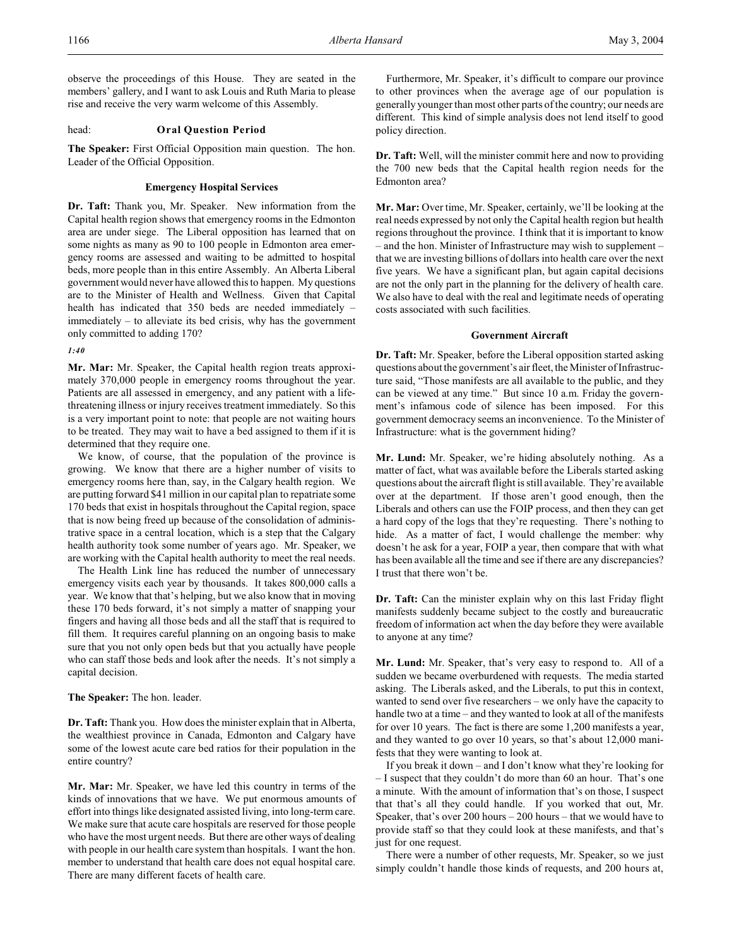observe the proceedings of this House. They are seated in the members' gallery, and I want to ask Louis and Ruth Maria to please rise and receive the very warm welcome of this Assembly.

## head: **Oral Question Period**

**The Speaker:** First Official Opposition main question. The hon. Leader of the Official Opposition.

## **Emergency Hospital Services**

**Dr. Taft:** Thank you, Mr. Speaker. New information from the Capital health region shows that emergency rooms in the Edmonton area are under siege. The Liberal opposition has learned that on some nights as many as 90 to 100 people in Edmonton area emergency rooms are assessed and waiting to be admitted to hospital beds, more people than in this entire Assembly. An Alberta Liberal government would never have allowed this to happen. My questions are to the Minister of Health and Wellness. Given that Capital health has indicated that 350 beds are needed immediately – immediately – to alleviate its bed crisis, why has the government only committed to adding 170?

*1:40*

**Mr. Mar:** Mr. Speaker, the Capital health region treats approximately 370,000 people in emergency rooms throughout the year. Patients are all assessed in emergency, and any patient with a lifethreatening illness or injury receives treatment immediately. So this is a very important point to note: that people are not waiting hours to be treated. They may wait to have a bed assigned to them if it is determined that they require one.

We know, of course, that the population of the province is growing. We know that there are a higher number of visits to emergency rooms here than, say, in the Calgary health region. We are putting forward \$41 million in our capital plan to repatriate some 170 beds that exist in hospitals throughout the Capital region, space that is now being freed up because of the consolidation of administrative space in a central location, which is a step that the Calgary health authority took some number of years ago. Mr. Speaker, we are working with the Capital health authority to meet the real needs.

The Health Link line has reduced the number of unnecessary emergency visits each year by thousands. It takes 800,000 calls a year. We know that that's helping, but we also know that in moving these 170 beds forward, it's not simply a matter of snapping your fingers and having all those beds and all the staff that is required to fill them. It requires careful planning on an ongoing basis to make sure that you not only open beds but that you actually have people who can staff those beds and look after the needs. It's not simply a capital decision.

#### **The Speaker:** The hon. leader.

**Dr. Taft:** Thank you. How does the minister explain that in Alberta, the wealthiest province in Canada, Edmonton and Calgary have some of the lowest acute care bed ratios for their population in the entire country?

**Mr. Mar:** Mr. Speaker, we have led this country in terms of the kinds of innovations that we have. We put enormous amounts of effort into things like designated assisted living, into long-term care. We make sure that acute care hospitals are reserved for those people who have the most urgent needs. But there are other ways of dealing with people in our health care system than hospitals. I want the hon. member to understand that health care does not equal hospital care. There are many different facets of health care.

Furthermore, Mr. Speaker, it's difficult to compare our province to other provinces when the average age of our population is generally younger than most other parts of the country; our needs are different. This kind of simple analysis does not lend itself to good policy direction.

**Dr. Taft:** Well, will the minister commit here and now to providing the 700 new beds that the Capital health region needs for the Edmonton area?

**Mr. Mar:** Over time, Mr. Speaker, certainly, we'll be looking at the real needs expressed by not only the Capital health region but health regions throughout the province. I think that it is important to know – and the hon. Minister of Infrastructure may wish to supplement – that we are investing billions of dollars into health care over the next five years. We have a significant plan, but again capital decisions are not the only part in the planning for the delivery of health care. We also have to deal with the real and legitimate needs of operating costs associated with such facilities.

## **Government Aircraft**

**Dr. Taft:** Mr. Speaker, before the Liberal opposition started asking questions about the government's air fleet, the Minister of Infrastructure said, "Those manifests are all available to the public, and they can be viewed at any time." But since 10 a.m. Friday the government's infamous code of silence has been imposed. For this government democracy seems an inconvenience. To the Minister of Infrastructure: what is the government hiding?

**Mr. Lund:** Mr. Speaker, we're hiding absolutely nothing. As a matter of fact, what was available before the Liberals started asking questions about the aircraft flight is still available. They're available over at the department. If those aren't good enough, then the Liberals and others can use the FOIP process, and then they can get a hard copy of the logs that they're requesting. There's nothing to hide. As a matter of fact, I would challenge the member: why doesn't he ask for a year, FOIP a year, then compare that with what has been available all the time and see if there are any discrepancies? I trust that there won't be.

**Dr. Taft:** Can the minister explain why on this last Friday flight manifests suddenly became subject to the costly and bureaucratic freedom of information act when the day before they were available to anyone at any time?

**Mr. Lund:** Mr. Speaker, that's very easy to respond to. All of a sudden we became overburdened with requests. The media started asking. The Liberals asked, and the Liberals, to put this in context, wanted to send over five researchers – we only have the capacity to handle two at a time – and they wanted to look at all of the manifests for over 10 years. The fact is there are some 1,200 manifests a year, and they wanted to go over 10 years, so that's about 12,000 manifests that they were wanting to look at.

If you break it down – and I don't know what they're looking for – I suspect that they couldn't do more than 60 an hour. That's one a minute. With the amount of information that's on those, I suspect that that's all they could handle. If you worked that out, Mr. Speaker, that's over 200 hours – 200 hours – that we would have to provide staff so that they could look at these manifests, and that's just for one request.

There were a number of other requests, Mr. Speaker, so we just simply couldn't handle those kinds of requests, and 200 hours at,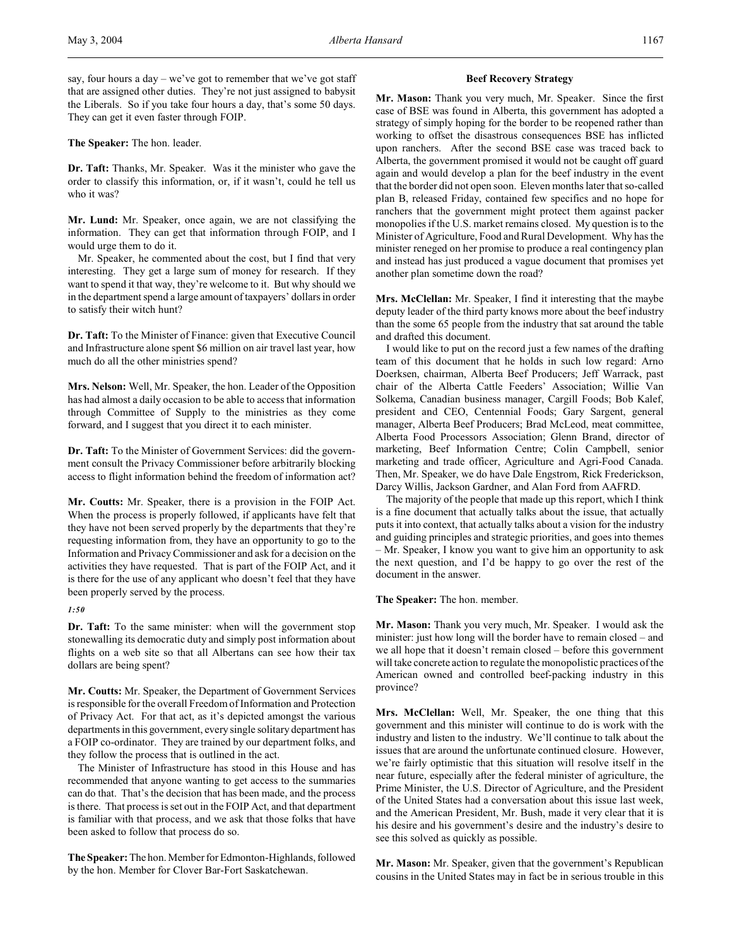say, four hours a day – we've got to remember that we've got staff that are assigned other duties. They're not just assigned to babysit the Liberals. So if you take four hours a day, that's some 50 days. They can get it even faster through FOIP.

**The Speaker:** The hon. leader.

**Dr. Taft:** Thanks, Mr. Speaker. Was it the minister who gave the order to classify this information, or, if it wasn't, could he tell us who it was?

**Mr. Lund:** Mr. Speaker, once again, we are not classifying the information. They can get that information through FOIP, and I would urge them to do it.

Mr. Speaker, he commented about the cost, but I find that very interesting. They get a large sum of money for research. If they want to spend it that way, they're welcome to it. But why should we in the department spend a large amount of taxpayers' dollars in order to satisfy their witch hunt?

**Dr. Taft:** To the Minister of Finance: given that Executive Council and Infrastructure alone spent \$6 million on air travel last year, how much do all the other ministries spend?

**Mrs. Nelson:** Well, Mr. Speaker, the hon. Leader of the Opposition has had almost a daily occasion to be able to access that information through Committee of Supply to the ministries as they come forward, and I suggest that you direct it to each minister.

**Dr. Taft:** To the Minister of Government Services: did the government consult the Privacy Commissioner before arbitrarily blocking access to flight information behind the freedom of information act?

**Mr. Coutts:** Mr. Speaker, there is a provision in the FOIP Act. When the process is properly followed, if applicants have felt that they have not been served properly by the departments that they're requesting information from, they have an opportunity to go to the Information and Privacy Commissioner and ask for a decision on the activities they have requested. That is part of the FOIP Act, and it is there for the use of any applicant who doesn't feel that they have been properly served by the process.

*1:50*

**Dr. Taft:** To the same minister: when will the government stop stonewalling its democratic duty and simply post information about flights on a web site so that all Albertans can see how their tax dollars are being spent?

**Mr. Coutts:** Mr. Speaker, the Department of Government Services is responsible for the overall Freedom of Information and Protection of Privacy Act. For that act, as it's depicted amongst the various departments in this government, every single solitary department has a FOIP co-ordinator. They are trained by our department folks, and they follow the process that is outlined in the act.

The Minister of Infrastructure has stood in this House and has recommended that anyone wanting to get access to the summaries can do that. That's the decision that has been made, and the process is there. That process is set out in the FOIP Act, and that department is familiar with that process, and we ask that those folks that have been asked to follow that process do so.

**The Speaker:** The hon. Member for Edmonton-Highlands, followed by the hon. Member for Clover Bar-Fort Saskatchewan.

#### **Beef Recovery Strategy**

**Mr. Mason:** Thank you very much, Mr. Speaker. Since the first case of BSE was found in Alberta, this government has adopted a strategy of simply hoping for the border to be reopened rather than working to offset the disastrous consequences BSE has inflicted upon ranchers. After the second BSE case was traced back to Alberta, the government promised it would not be caught off guard again and would develop a plan for the beef industry in the event that the border did not open soon. Eleven months later that so-called plan B, released Friday, contained few specifics and no hope for ranchers that the government might protect them against packer monopolies if the U.S. market remains closed. My question is to the Minister of Agriculture, Food and Rural Development. Why has the minister reneged on her promise to produce a real contingency plan and instead has just produced a vague document that promises yet another plan sometime down the road?

**Mrs. McClellan:** Mr. Speaker, I find it interesting that the maybe deputy leader of the third party knows more about the beef industry than the some 65 people from the industry that sat around the table and drafted this document.

I would like to put on the record just a few names of the drafting team of this document that he holds in such low regard: Arno Doerksen, chairman, Alberta Beef Producers; Jeff Warrack, past chair of the Alberta Cattle Feeders' Association; Willie Van Solkema, Canadian business manager, Cargill Foods; Bob Kalef, president and CEO, Centennial Foods; Gary Sargent, general manager, Alberta Beef Producers; Brad McLeod, meat committee, Alberta Food Processors Association; Glenn Brand, director of marketing, Beef Information Centre; Colin Campbell, senior marketing and trade officer, Agriculture and Agri-Food Canada. Then, Mr. Speaker, we do have Dale Engstrom, Rick Frederickson, Darcy Willis, Jackson Gardner, and Alan Ford from AAFRD.

The majority of the people that made up this report, which I think is a fine document that actually talks about the issue, that actually puts it into context, that actually talks about a vision for the industry and guiding principles and strategic priorities, and goes into themes – Mr. Speaker, I know you want to give him an opportunity to ask the next question, and I'd be happy to go over the rest of the document in the answer.

**The Speaker:** The hon. member.

**Mr. Mason:** Thank you very much, Mr. Speaker. I would ask the minister: just how long will the border have to remain closed – and we all hope that it doesn't remain closed – before this government will take concrete action to regulate the monopolistic practices of the American owned and controlled beef-packing industry in this province?

**Mrs. McClellan:** Well, Mr. Speaker, the one thing that this government and this minister will continue to do is work with the industry and listen to the industry. We'll continue to talk about the issues that are around the unfortunate continued closure. However, we're fairly optimistic that this situation will resolve itself in the near future, especially after the federal minister of agriculture, the Prime Minister, the U.S. Director of Agriculture, and the President of the United States had a conversation about this issue last week, and the American President, Mr. Bush, made it very clear that it is his desire and his government's desire and the industry's desire to see this solved as quickly as possible.

**Mr. Mason:** Mr. Speaker, given that the government's Republican cousins in the United States may in fact be in serious trouble in this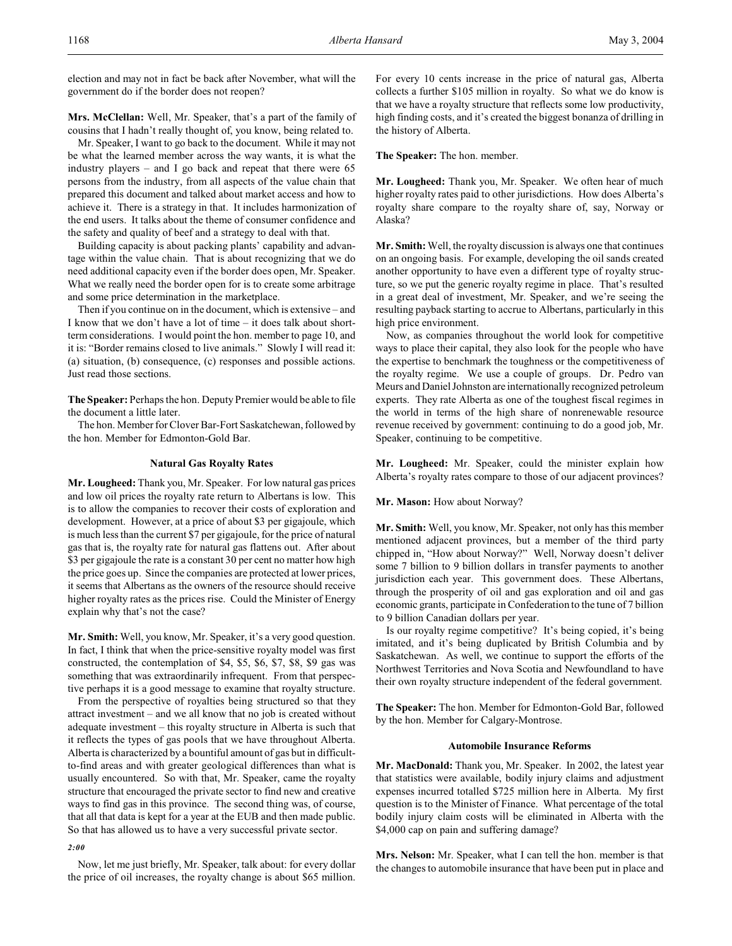election and may not in fact be back after November, what will the government do if the border does not reopen?

**Mrs. McClellan:** Well, Mr. Speaker, that's a part of the family of cousins that I hadn't really thought of, you know, being related to.

Mr. Speaker, I want to go back to the document. While it may not be what the learned member across the way wants, it is what the industry players – and I go back and repeat that there were 65 persons from the industry, from all aspects of the value chain that prepared this document and talked about market access and how to achieve it. There is a strategy in that. It includes harmonization of the end users. It talks about the theme of consumer confidence and the safety and quality of beef and a strategy to deal with that.

Building capacity is about packing plants' capability and advantage within the value chain. That is about recognizing that we do need additional capacity even if the border does open, Mr. Speaker. What we really need the border open for is to create some arbitrage and some price determination in the marketplace.

Then if you continue on in the document, which is extensive – and I know that we don't have a lot of time – it does talk about shortterm considerations. I would point the hon. member to page 10, and it is: "Border remains closed to live animals." Slowly I will read it: (a) situation, (b) consequence, (c) responses and possible actions. Just read those sections.

**The Speaker:** Perhaps the hon. Deputy Premier would be able to file the document a little later.

The hon. Member for Clover Bar-Fort Saskatchewan, followed by the hon. Member for Edmonton-Gold Bar.

### **Natural Gas Royalty Rates**

**Mr. Lougheed:** Thank you, Mr. Speaker. For low natural gas prices and low oil prices the royalty rate return to Albertans is low. This is to allow the companies to recover their costs of exploration and development. However, at a price of about \$3 per gigajoule, which is much less than the current \$7 per gigajoule, for the price of natural gas that is, the royalty rate for natural gas flattens out. After about \$3 per gigajoule the rate is a constant 30 per cent no matter how high the price goes up. Since the companies are protected at lower prices, it seems that Albertans as the owners of the resource should receive higher royalty rates as the prices rise. Could the Minister of Energy explain why that's not the case?

**Mr. Smith:** Well, you know, Mr. Speaker, it's a very good question. In fact, I think that when the price-sensitive royalty model was first constructed, the contemplation of \$4, \$5, \$6, \$7, \$8, \$9 gas was something that was extraordinarily infrequent. From that perspective perhaps it is a good message to examine that royalty structure.

From the perspective of royalties being structured so that they attract investment – and we all know that no job is created without adequate investment – this royalty structure in Alberta is such that it reflects the types of gas pools that we have throughout Alberta. Alberta is characterized by a bountiful amount of gas but in difficultto-find areas and with greater geological differences than what is usually encountered. So with that, Mr. Speaker, came the royalty structure that encouraged the private sector to find new and creative ways to find gas in this province. The second thing was, of course, that all that data is kept for a year at the EUB and then made public. So that has allowed us to have a very successful private sector.

#### *2:00*

Now, let me just briefly, Mr. Speaker, talk about: for every dollar the price of oil increases, the royalty change is about \$65 million.

For every 10 cents increase in the price of natural gas, Alberta collects a further \$105 million in royalty. So what we do know is that we have a royalty structure that reflects some low productivity, high finding costs, and it's created the biggest bonanza of drilling in the history of Alberta.

**The Speaker:** The hon. member.

**Mr. Lougheed:** Thank you, Mr. Speaker. We often hear of much higher royalty rates paid to other jurisdictions. How does Alberta's royalty share compare to the royalty share of, say, Norway or Alaska?

**Mr. Smith:** Well, the royalty discussion is always one that continues on an ongoing basis. For example, developing the oil sands created another opportunity to have even a different type of royalty structure, so we put the generic royalty regime in place. That's resulted in a great deal of investment, Mr. Speaker, and we're seeing the resulting payback starting to accrue to Albertans, particularly in this high price environment.

Now, as companies throughout the world look for competitive ways to place their capital, they also look for the people who have the expertise to benchmark the toughness or the competitiveness of the royalty regime. We use a couple of groups. Dr. Pedro van Meurs and Daniel Johnston are internationally recognized petroleum experts. They rate Alberta as one of the toughest fiscal regimes in the world in terms of the high share of nonrenewable resource revenue received by government: continuing to do a good job, Mr. Speaker, continuing to be competitive.

**Mr. Lougheed:** Mr. Speaker, could the minister explain how Alberta's royalty rates compare to those of our adjacent provinces?

**Mr. Mason:** How about Norway?

**Mr. Smith:** Well, you know, Mr. Speaker, not only has this member mentioned adjacent provinces, but a member of the third party chipped in, "How about Norway?" Well, Norway doesn't deliver some 7 billion to 9 billion dollars in transfer payments to another jurisdiction each year. This government does. These Albertans, through the prosperity of oil and gas exploration and oil and gas economic grants, participate in Confederation to the tune of 7 billion to 9 billion Canadian dollars per year.

Is our royalty regime competitive? It's being copied, it's being imitated, and it's being duplicated by British Columbia and by Saskatchewan. As well, we continue to support the efforts of the Northwest Territories and Nova Scotia and Newfoundland to have their own royalty structure independent of the federal government.

**The Speaker:** The hon. Member for Edmonton-Gold Bar, followed by the hon. Member for Calgary-Montrose.

#### **Automobile Insurance Reforms**

**Mr. MacDonald:** Thank you, Mr. Speaker. In 2002, the latest year that statistics were available, bodily injury claims and adjustment expenses incurred totalled \$725 million here in Alberta. My first question is to the Minister of Finance. What percentage of the total bodily injury claim costs will be eliminated in Alberta with the \$4,000 cap on pain and suffering damage?

**Mrs. Nelson:** Mr. Speaker, what I can tell the hon. member is that the changes to automobile insurance that have been put in place and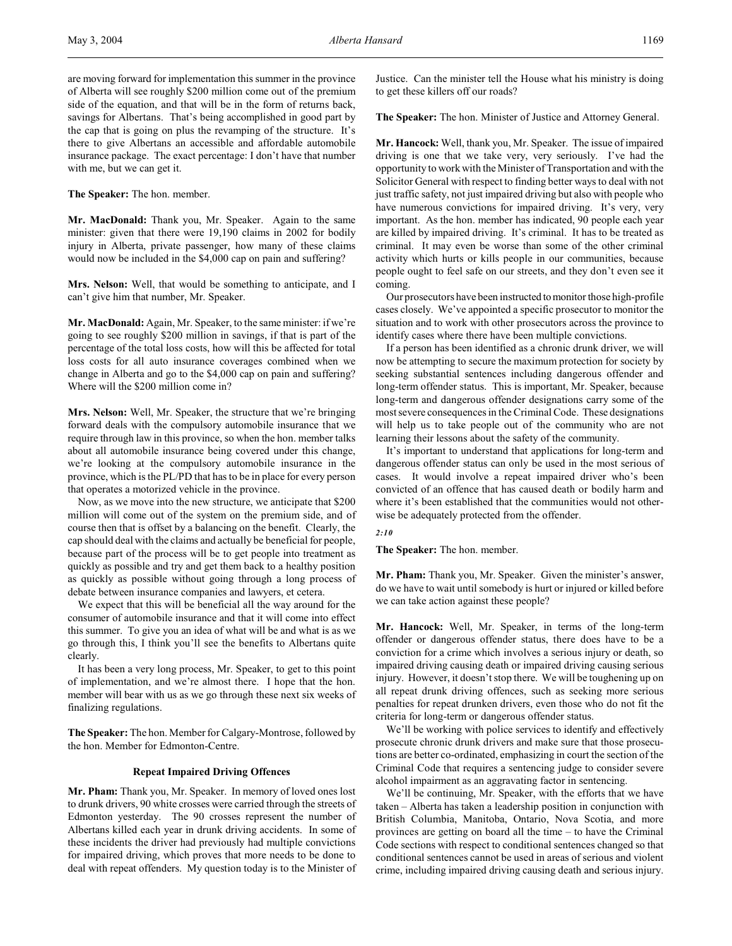are moving forward for implementation this summer in the province of Alberta will see roughly \$200 million come out of the premium side of the equation, and that will be in the form of returns back, savings for Albertans. That's being accomplished in good part by the cap that is going on plus the revamping of the structure. It's there to give Albertans an accessible and affordable automobile insurance package. The exact percentage: I don't have that number with me, but we can get it.

**The Speaker:** The hon. member.

**Mr. MacDonald:** Thank you, Mr. Speaker. Again to the same minister: given that there were 19,190 claims in 2002 for bodily injury in Alberta, private passenger, how many of these claims would now be included in the \$4,000 cap on pain and suffering?

**Mrs. Nelson:** Well, that would be something to anticipate, and I can't give him that number, Mr. Speaker.

**Mr. MacDonald:** Again, Mr. Speaker, to the same minister: if we're going to see roughly \$200 million in savings, if that is part of the percentage of the total loss costs, how will this be affected for total loss costs for all auto insurance coverages combined when we change in Alberta and go to the \$4,000 cap on pain and suffering? Where will the \$200 million come in?

**Mrs. Nelson:** Well, Mr. Speaker, the structure that we're bringing forward deals with the compulsory automobile insurance that we require through law in this province, so when the hon. member talks about all automobile insurance being covered under this change, we're looking at the compulsory automobile insurance in the province, which is the PL/PD that has to be in place for every person that operates a motorized vehicle in the province.

Now, as we move into the new structure, we anticipate that \$200 million will come out of the system on the premium side, and of course then that is offset by a balancing on the benefit. Clearly, the cap should deal with the claims and actually be beneficial for people, because part of the process will be to get people into treatment as quickly as possible and try and get them back to a healthy position as quickly as possible without going through a long process of debate between insurance companies and lawyers, et cetera.

We expect that this will be beneficial all the way around for the consumer of automobile insurance and that it will come into effect this summer. To give you an idea of what will be and what is as we go through this, I think you'll see the benefits to Albertans quite clearly.

It has been a very long process, Mr. Speaker, to get to this point of implementation, and we're almost there. I hope that the hon. member will bear with us as we go through these next six weeks of finalizing regulations.

The Speaker: The hon. Member for Calgary-Montrose, followed by the hon. Member for Edmonton-Centre.

#### **Repeat Impaired Driving Offences**

**Mr. Pham:** Thank you, Mr. Speaker. In memory of loved ones lost to drunk drivers, 90 white crosses were carried through the streets of Edmonton yesterday. The 90 crosses represent the number of Albertans killed each year in drunk driving accidents. In some of these incidents the driver had previously had multiple convictions for impaired driving, which proves that more needs to be done to deal with repeat offenders. My question today is to the Minister of Justice. Can the minister tell the House what his ministry is doing to get these killers off our roads?

**The Speaker:** The hon. Minister of Justice and Attorney General.

**Mr. Hancock:** Well, thank you, Mr. Speaker. The issue of impaired driving is one that we take very, very seriously. I've had the opportunity to work with the Minister of Transportation and with the Solicitor General with respect to finding better ways to deal with not just traffic safety, not just impaired driving but also with people who have numerous convictions for impaired driving. It's very, very important. As the hon. member has indicated, 90 people each year are killed by impaired driving. It's criminal. It has to be treated as criminal. It may even be worse than some of the other criminal activity which hurts or kills people in our communities, because people ought to feel safe on our streets, and they don't even see it coming.

Our prosecutors have been instructed to monitor those high-profile cases closely. We've appointed a specific prosecutor to monitor the situation and to work with other prosecutors across the province to identify cases where there have been multiple convictions.

If a person has been identified as a chronic drunk driver, we will now be attempting to secure the maximum protection for society by seeking substantial sentences including dangerous offender and long-term offender status. This is important, Mr. Speaker, because long-term and dangerous offender designations carry some of the most severe consequences in the Criminal Code. These designations will help us to take people out of the community who are not learning their lessons about the safety of the community.

It's important to understand that applications for long-term and dangerous offender status can only be used in the most serious of cases. It would involve a repeat impaired driver who's been convicted of an offence that has caused death or bodily harm and where it's been established that the communities would not otherwise be adequately protected from the offender.

## *2:10*

**The Speaker:** The hon. member.

**Mr. Pham:** Thank you, Mr. Speaker. Given the minister's answer, do we have to wait until somebody is hurt or injured or killed before we can take action against these people?

**Mr. Hancock:** Well, Mr. Speaker, in terms of the long-term offender or dangerous offender status, there does have to be a conviction for a crime which involves a serious injury or death, so impaired driving causing death or impaired driving causing serious injury. However, it doesn't stop there. We will be toughening up on all repeat drunk driving offences, such as seeking more serious penalties for repeat drunken drivers, even those who do not fit the criteria for long-term or dangerous offender status.

We'll be working with police services to identify and effectively prosecute chronic drunk drivers and make sure that those prosecutions are better co-ordinated, emphasizing in court the section of the Criminal Code that requires a sentencing judge to consider severe alcohol impairment as an aggravating factor in sentencing.

We'll be continuing, Mr. Speaker, with the efforts that we have taken – Alberta has taken a leadership position in conjunction with British Columbia, Manitoba, Ontario, Nova Scotia, and more provinces are getting on board all the time – to have the Criminal Code sections with respect to conditional sentences changed so that conditional sentences cannot be used in areas of serious and violent crime, including impaired driving causing death and serious injury.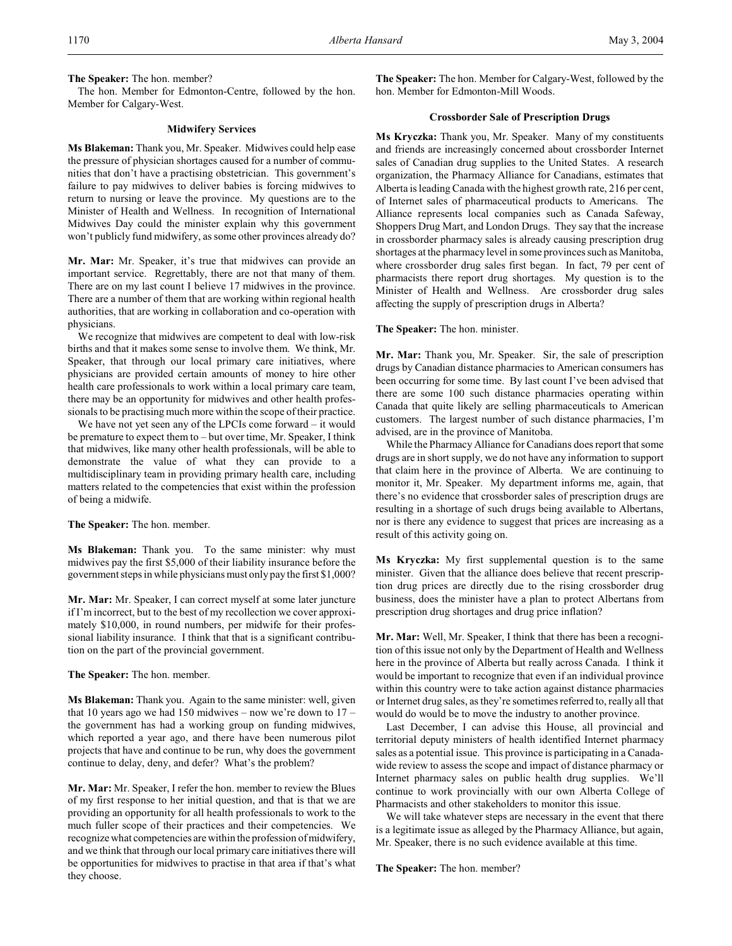**The Speaker:** The hon. member?

The hon. Member for Edmonton-Centre, followed by the hon. Member for Calgary-West.

## **Midwifery Services**

**Ms Blakeman:** Thank you, Mr. Speaker. Midwives could help ease the pressure of physician shortages caused for a number of communities that don't have a practising obstetrician. This government's failure to pay midwives to deliver babies is forcing midwives to return to nursing or leave the province. My questions are to the Minister of Health and Wellness. In recognition of International Midwives Day could the minister explain why this government won't publicly fund midwifery, as some other provinces already do?

**Mr. Mar:** Mr. Speaker, it's true that midwives can provide an important service. Regrettably, there are not that many of them. There are on my last count I believe 17 midwives in the province. There are a number of them that are working within regional health authorities, that are working in collaboration and co-operation with physicians.

We recognize that midwives are competent to deal with low-risk births and that it makes some sense to involve them. We think, Mr. Speaker, that through our local primary care initiatives, where physicians are provided certain amounts of money to hire other health care professionals to work within a local primary care team, there may be an opportunity for midwives and other health professionals to be practising much more within the scope of their practice.

We have not yet seen any of the LPCIs come forward – it would be premature to expect them to – but over time, Mr. Speaker, I think that midwives, like many other health professionals, will be able to demonstrate the value of what they can provide to a multidisciplinary team in providing primary health care, including matters related to the competencies that exist within the profession of being a midwife.

**The Speaker:** The hon. member.

**Ms Blakeman:** Thank you. To the same minister: why must midwives pay the first \$5,000 of their liability insurance before the government steps in while physicians must only pay the first \$1,000?

**Mr. Mar:** Mr. Speaker, I can correct myself at some later juncture if I'm incorrect, but to the best of my recollection we cover approximately \$10,000, in round numbers, per midwife for their professional liability insurance. I think that that is a significant contribution on the part of the provincial government.

#### **The Speaker:** The hon. member.

**Ms Blakeman:** Thank you. Again to the same minister: well, given that 10 years ago we had 150 midwives – now we're down to  $17$ the government has had a working group on funding midwives, which reported a year ago, and there have been numerous pilot projects that have and continue to be run, why does the government continue to delay, deny, and defer? What's the problem?

**Mr. Mar:** Mr. Speaker, I refer the hon. member to review the Blues of my first response to her initial question, and that is that we are providing an opportunity for all health professionals to work to the much fuller scope of their practices and their competencies. We recognize what competencies are within the profession of midwifery, and we think that through our local primary care initiatives there will be opportunities for midwives to practise in that area if that's what they choose.

**The Speaker:** The hon. Member for Calgary-West, followed by the hon. Member for Edmonton-Mill Woods.

# **Crossborder Sale of Prescription Drugs**

**Ms Kryczka:** Thank you, Mr. Speaker. Many of my constituents and friends are increasingly concerned about crossborder Internet sales of Canadian drug supplies to the United States. A research organization, the Pharmacy Alliance for Canadians, estimates that Alberta is leading Canada with the highest growth rate, 216 per cent, of Internet sales of pharmaceutical products to Americans. The Alliance represents local companies such as Canada Safeway, Shoppers Drug Mart, and London Drugs. They say that the increase in crossborder pharmacy sales is already causing prescription drug shortages at the pharmacy level in some provinces such as Manitoba, where crossborder drug sales first began. In fact, 79 per cent of pharmacists there report drug shortages. My question is to the Minister of Health and Wellness. Are crossborder drug sales affecting the supply of prescription drugs in Alberta?

#### **The Speaker:** The hon. minister.

**Mr. Mar:** Thank you, Mr. Speaker. Sir, the sale of prescription drugs by Canadian distance pharmacies to American consumers has been occurring for some time. By last count I've been advised that there are some 100 such distance pharmacies operating within Canada that quite likely are selling pharmaceuticals to American customers. The largest number of such distance pharmacies, I'm advised, are in the province of Manitoba.

While the Pharmacy Alliance for Canadians does report that some drugs are in short supply, we do not have any information to support that claim here in the province of Alberta. We are continuing to monitor it, Mr. Speaker. My department informs me, again, that there's no evidence that crossborder sales of prescription drugs are resulting in a shortage of such drugs being available to Albertans, nor is there any evidence to suggest that prices are increasing as a result of this activity going on.

**Ms Kryczka:** My first supplemental question is to the same minister. Given that the alliance does believe that recent prescription drug prices are directly due to the rising crossborder drug business, does the minister have a plan to protect Albertans from prescription drug shortages and drug price inflation?

**Mr. Mar:** Well, Mr. Speaker, I think that there has been a recognition of this issue not only by the Department of Health and Wellness here in the province of Alberta but really across Canada. I think it would be important to recognize that even if an individual province within this country were to take action against distance pharmacies or Internet drug sales, as they're sometimes referred to, really all that would do would be to move the industry to another province.

Last December, I can advise this House, all provincial and territorial deputy ministers of health identified Internet pharmacy sales as a potential issue. This province is participating in a Canadawide review to assess the scope and impact of distance pharmacy or Internet pharmacy sales on public health drug supplies. We'll continue to work provincially with our own Alberta College of Pharmacists and other stakeholders to monitor this issue.

We will take whatever steps are necessary in the event that there is a legitimate issue as alleged by the Pharmacy Alliance, but again, Mr. Speaker, there is no such evidence available at this time.

**The Speaker:** The hon. member?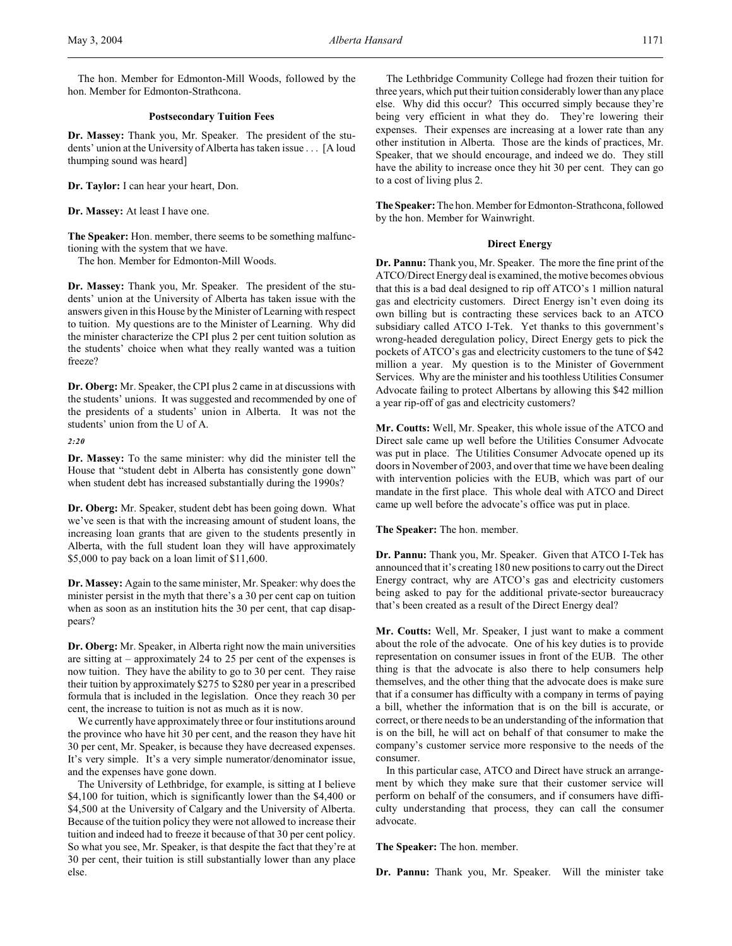The hon. Member for Edmonton-Mill Woods, followed by the hon. Member for Edmonton-Strathcona.

## **Postsecondary Tuition Fees**

**Dr. Massey:** Thank you, Mr. Speaker. The president of the students' union at the University of Alberta has taken issue . . . [A loud thumping sound was heard]

**Dr. Taylor:** I can hear your heart, Don.

**Dr. Massey:** At least I have one.

**The Speaker:** Hon. member, there seems to be something malfunctioning with the system that we have.

The hon. Member for Edmonton-Mill Woods.

**Dr. Massey:** Thank you, Mr. Speaker. The president of the students' union at the University of Alberta has taken issue with the answers given in this House by the Minister of Learning with respect to tuition. My questions are to the Minister of Learning. Why did the minister characterize the CPI plus 2 per cent tuition solution as the students' choice when what they really wanted was a tuition freeze?

**Dr. Oberg:** Mr. Speaker, the CPI plus 2 came in at discussions with the students' unions. It was suggested and recommended by one of the presidents of a students' union in Alberta. It was not the students' union from the U of A.

*2:20*

**Dr. Massey:** To the same minister: why did the minister tell the House that "student debt in Alberta has consistently gone down" when student debt has increased substantially during the 1990s?

**Dr. Oberg:** Mr. Speaker, student debt has been going down. What we've seen is that with the increasing amount of student loans, the increasing loan grants that are given to the students presently in Alberta, with the full student loan they will have approximately \$5,000 to pay back on a loan limit of \$11,600.

**Dr. Massey:** Again to the same minister, Mr. Speaker: why does the minister persist in the myth that there's a 30 per cent cap on tuition when as soon as an institution hits the 30 per cent, that cap disappears?

**Dr. Oberg:** Mr. Speaker, in Alberta right now the main universities are sitting at – approximately 24 to 25 per cent of the expenses is now tuition. They have the ability to go to 30 per cent. They raise their tuition by approximately \$275 to \$280 per year in a prescribed formula that is included in the legislation. Once they reach 30 per cent, the increase to tuition is not as much as it is now.

We currently have approximately three or four institutions around the province who have hit 30 per cent, and the reason they have hit 30 per cent, Mr. Speaker, is because they have decreased expenses. It's very simple. It's a very simple numerator/denominator issue, and the expenses have gone down.

The University of Lethbridge, for example, is sitting at I believe \$4,100 for tuition, which is significantly lower than the \$4,400 or \$4,500 at the University of Calgary and the University of Alberta. Because of the tuition policy they were not allowed to increase their tuition and indeed had to freeze it because of that 30 per cent policy. So what you see, Mr. Speaker, is that despite the fact that they're at 30 per cent, their tuition is still substantially lower than any place else.

The Lethbridge Community College had frozen their tuition for three years, which put their tuition considerably lower than any place else. Why did this occur? This occurred simply because they're being very efficient in what they do. They're lowering their expenses. Their expenses are increasing at a lower rate than any other institution in Alberta. Those are the kinds of practices, Mr. Speaker, that we should encourage, and indeed we do. They still have the ability to increase once they hit 30 per cent. They can go to a cost of living plus 2.

**The Speaker:** The hon. Member for Edmonton-Strathcona, followed by the hon. Member for Wainwright.

## **Direct Energy**

**Dr. Pannu:** Thank you, Mr. Speaker. The more the fine print of the ATCO/Direct Energy deal is examined, themotive becomes obvious that this is a bad deal designed to rip off ATCO's 1 million natural gas and electricity customers. Direct Energy isn't even doing its own billing but is contracting these services back to an ATCO subsidiary called ATCO I-Tek. Yet thanks to this government's wrong-headed deregulation policy, Direct Energy gets to pick the pockets of ATCO's gas and electricity customers to the tune of \$42 million a year. My question is to the Minister of Government Services. Why are the minister and his toothless Utilities Consumer Advocate failing to protect Albertans by allowing this \$42 million a year rip-off of gas and electricity customers?

**Mr. Coutts:** Well, Mr. Speaker, this whole issue of the ATCO and Direct sale came up well before the Utilities Consumer Advocate was put in place. The Utilities Consumer Advocate opened up its doors in November of 2003, and over that time we have been dealing with intervention policies with the EUB, which was part of our mandate in the first place. This whole deal with ATCO and Direct came up well before the advocate's office was put in place.

**The Speaker:** The hon. member.

**Dr. Pannu:** Thank you, Mr. Speaker. Given that ATCO I-Tek has announced that it's creating 180 new positions to carry out the Direct Energy contract, why are ATCO's gas and electricity customers being asked to pay for the additional private-sector bureaucracy that's been created as a result of the Direct Energy deal?

**Mr. Coutts:** Well, Mr. Speaker, I just want to make a comment about the role of the advocate. One of his key duties is to provide representation on consumer issues in front of the EUB. The other thing is that the advocate is also there to help consumers help themselves, and the other thing that the advocate does is make sure that if a consumer has difficulty with a company in terms of paying a bill, whether the information that is on the bill is accurate, or correct, or there needs to be an understanding of the information that is on the bill, he will act on behalf of that consumer to make the company's customer service more responsive to the needs of the consumer.

In this particular case, ATCO and Direct have struck an arrangement by which they make sure that their customer service will perform on behalf of the consumers, and if consumers have difficulty understanding that process, they can call the consumer advocate.

**The Speaker:** The hon. member.

**Dr. Pannu:** Thank you, Mr. Speaker. Will the minister take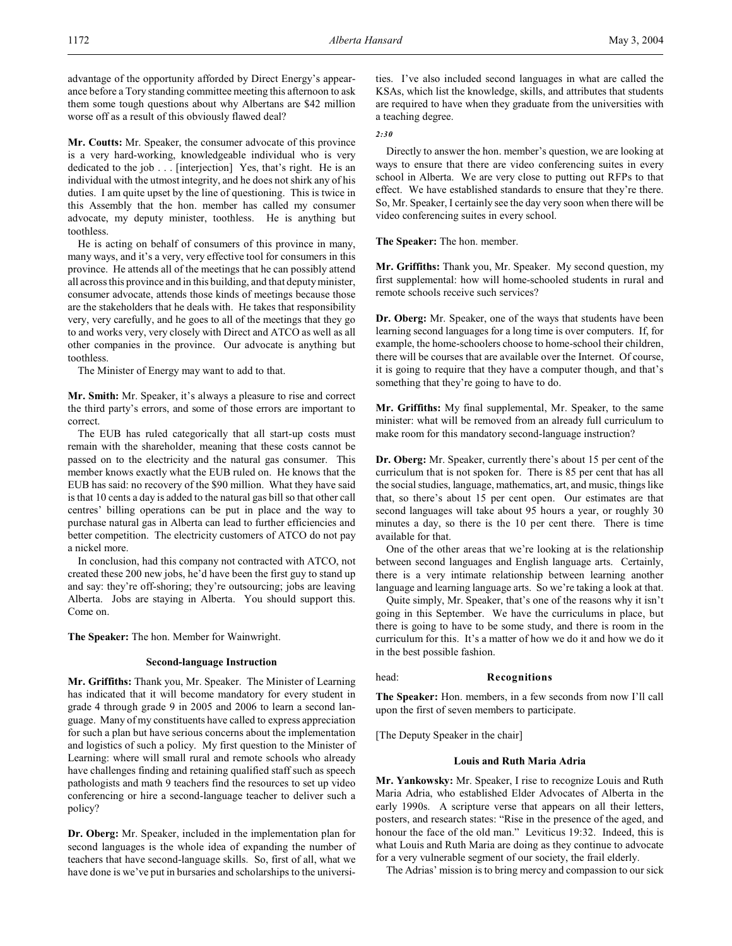advantage of the opportunity afforded by Direct Energy's appearance before a Tory standing committee meeting this afternoon to ask them some tough questions about why Albertans are \$42 million worse off as a result of this obviously flawed deal?

**Mr. Coutts:** Mr. Speaker, the consumer advocate of this province is a very hard-working, knowledgeable individual who is very dedicated to the job . . . [interjection] Yes, that's right. He is an individual with the utmost integrity, and he does not shirk any of his duties. I am quite upset by the line of questioning. This is twice in this Assembly that the hon. member has called my consumer advocate, my deputy minister, toothless. He is anything but toothless.

He is acting on behalf of consumers of this province in many, many ways, and it's a very, very effective tool for consumers in this province. He attends all of the meetings that he can possibly attend all across this province and in this building, and that deputy minister, consumer advocate, attends those kinds of meetings because those are the stakeholders that he deals with. He takes that responsibility very, very carefully, and he goes to all of the meetings that they go to and works very, very closely with Direct and ATCO as well as all other companies in the province. Our advocate is anything but toothless.

The Minister of Energy may want to add to that.

**Mr. Smith:** Mr. Speaker, it's always a pleasure to rise and correct the third party's errors, and some of those errors are important to correct.

The EUB has ruled categorically that all start-up costs must remain with the shareholder, meaning that these costs cannot be passed on to the electricity and the natural gas consumer. This member knows exactly what the EUB ruled on. He knows that the EUB has said: no recovery of the \$90 million. What they have said is that 10 cents a day is added to the natural gas bill so that other call centres' billing operations can be put in place and the way to purchase natural gas in Alberta can lead to further efficiencies and better competition. The electricity customers of ATCO do not pay a nickel more.

In conclusion, had this company not contracted with ATCO, not created these 200 new jobs, he'd have been the first guy to stand up and say: they're off-shoring; they're outsourcing; jobs are leaving Alberta. Jobs are staying in Alberta. You should support this. Come on.

**The Speaker:** The hon. Member for Wainwright.

#### **Second-language Instruction**

**Mr. Griffiths:** Thank you, Mr. Speaker. The Minister of Learning has indicated that it will become mandatory for every student in grade 4 through grade 9 in 2005 and 2006 to learn a second language. Many of my constituents have called to express appreciation for such a plan but have serious concerns about the implementation and logistics of such a policy. My first question to the Minister of Learning: where will small rural and remote schools who already have challenges finding and retaining qualified staff such as speech pathologists and math 9 teachers find the resources to set up video conferencing or hire a second-language teacher to deliver such a policy?

**Dr. Oberg:** Mr. Speaker, included in the implementation plan for second languages is the whole idea of expanding the number of teachers that have second-language skills. So, first of all, what we have done is we've put in bursaries and scholarships to the universities. I've also included second languages in what are called the KSAs, which list the knowledge, skills, and attributes that students are required to have when they graduate from the universities with a teaching degree.

## *2:30*

Directly to answer the hon. member's question, we are looking at ways to ensure that there are video conferencing suites in every school in Alberta. We are very close to putting out RFPs to that effect. We have established standards to ensure that they're there. So, Mr. Speaker, I certainly see the day very soon when there will be video conferencing suites in every school.

**The Speaker:** The hon. member.

**Mr. Griffiths:** Thank you, Mr. Speaker. My second question, my first supplemental: how will home-schooled students in rural and remote schools receive such services?

**Dr. Oberg:** Mr. Speaker, one of the ways that students have been learning second languages for a long time is over computers. If, for example, the home-schoolers choose to home-school their children, there will be courses that are available over the Internet. Of course, it is going to require that they have a computer though, and that's something that they're going to have to do.

**Mr. Griffiths:** My final supplemental, Mr. Speaker, to the same minister: what will be removed from an already full curriculum to make room for this mandatory second-language instruction?

**Dr. Oberg:** Mr. Speaker, currently there's about 15 per cent of the curriculum that is not spoken for. There is 85 per cent that has all the social studies, language, mathematics, art, and music, things like that, so there's about 15 per cent open. Our estimates are that second languages will take about 95 hours a year, or roughly 30 minutes a day, so there is the 10 per cent there. There is time available for that.

One of the other areas that we're looking at is the relationship between second languages and English language arts. Certainly, there is a very intimate relationship between learning another language and learning language arts. So we're taking a look at that.

Quite simply, Mr. Speaker, that's one of the reasons why it isn't going in this September. We have the curriculums in place, but there is going to have to be some study, and there is room in the curriculum for this. It's a matter of how we do it and how we do it in the best possible fashion.

head: **Recognitions**

**The Speaker:** Hon. members, in a few seconds from now I'll call upon the first of seven members to participate.

[The Deputy Speaker in the chair]

## **Louis and Ruth Maria Adria**

**Mr. Yankowsky:** Mr. Speaker, I rise to recognize Louis and Ruth Maria Adria, who established Elder Advocates of Alberta in the early 1990s. A scripture verse that appears on all their letters, posters, and research states: "Rise in the presence of the aged, and honour the face of the old man." Leviticus 19:32. Indeed, this is what Louis and Ruth Maria are doing as they continue to advocate for a very vulnerable segment of our society, the frail elderly.

The Adrias' mission is to bring mercy and compassion to our sick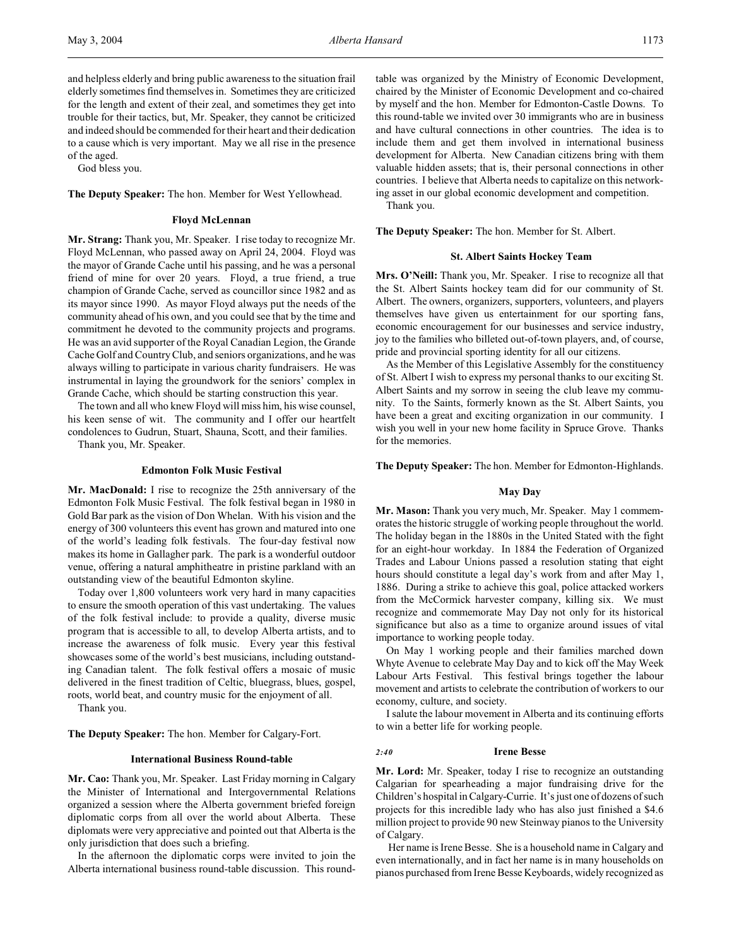and helpless elderly and bring public awareness to the situation frail elderly sometimes find themselves in. Sometimes they are criticized for the length and extent of their zeal, and sometimes they get into trouble for their tactics, but, Mr. Speaker, they cannot be criticized and indeed should be commended for their heart and their dedication to a cause which is very important. May we all rise in the presence of the aged.

God bless you.

**The Deputy Speaker:** The hon. Member for West Yellowhead.

#### **Floyd McLennan**

**Mr. Strang:** Thank you, Mr. Speaker. I rise today to recognize Mr. Floyd McLennan, who passed away on April 24, 2004. Floyd was the mayor of Grande Cache until his passing, and he was a personal friend of mine for over 20 years. Floyd, a true friend, a true champion of Grande Cache, served as councillor since 1982 and as its mayor since 1990. As mayor Floyd always put the needs of the community ahead of his own, and you could see that by the time and commitment he devoted to the community projects and programs. He was an avid supporter of the Royal Canadian Legion, the Grande Cache Golf and Country Club, and seniors organizations, and he was always willing to participate in various charity fundraisers. He was instrumental in laying the groundwork for the seniors' complex in Grande Cache, which should be starting construction this year.

The town and all who knew Floyd will miss him, his wise counsel, his keen sense of wit. The community and I offer our heartfelt condolences to Gudrun, Stuart, Shauna, Scott, and their families.

Thank you, Mr. Speaker.

#### **Edmonton Folk Music Festival**

**Mr. MacDonald:** I rise to recognize the 25th anniversary of the Edmonton Folk Music Festival. The folk festival began in 1980 in Gold Bar park as the vision of Don Whelan. With his vision and the energy of 300 volunteers this event has grown and matured into one of the world's leading folk festivals. The four-day festival now makes its home in Gallagher park. The park is a wonderful outdoor venue, offering a natural amphitheatre in pristine parkland with an outstanding view of the beautiful Edmonton skyline.

Today over 1,800 volunteers work very hard in many capacities to ensure the smooth operation of this vast undertaking. The values of the folk festival include: to provide a quality, diverse music program that is accessible to all, to develop Alberta artists, and to increase the awareness of folk music. Every year this festival showcases some of the world's best musicians, including outstanding Canadian talent. The folk festival offers a mosaic of music delivered in the finest tradition of Celtic, bluegrass, blues, gospel, roots, world beat, and country music for the enjoyment of all.

Thank you.

**The Deputy Speaker:** The hon. Member for Calgary-Fort.

#### **International Business Round-table**

**Mr. Cao:** Thank you, Mr. Speaker. Last Friday morning in Calgary the Minister of International and Intergovernmental Relations organized a session where the Alberta government briefed foreign diplomatic corps from all over the world about Alberta. These diplomats were very appreciative and pointed out that Alberta is the only jurisdiction that does such a briefing.

In the afternoon the diplomatic corps were invited to join the Alberta international business round-table discussion. This roundtable was organized by the Ministry of Economic Development, chaired by the Minister of Economic Development and co-chaired by myself and the hon. Member for Edmonton-Castle Downs. To this round-table we invited over 30 immigrants who are in business and have cultural connections in other countries. The idea is to include them and get them involved in international business development for Alberta. New Canadian citizens bring with them valuable hidden assets; that is, their personal connections in other countries. I believe that Alberta needs to capitalize on this networking asset in our global economic development and competition.

Thank you.

**The Deputy Speaker:** The hon. Member for St. Albert.

## **St. Albert Saints Hockey Team**

**Mrs. O'Neill:** Thank you, Mr. Speaker. I rise to recognize all that the St. Albert Saints hockey team did for our community of St. Albert. The owners, organizers, supporters, volunteers, and players themselves have given us entertainment for our sporting fans, economic encouragement for our businesses and service industry, joy to the families who billeted out-of-town players, and, of course, pride and provincial sporting identity for all our citizens.

As the Member of this Legislative Assembly for the constituency of St. Albert I wish to express my personal thanks to our exciting St. Albert Saints and my sorrow in seeing the club leave my community. To the Saints, formerly known as the St. Albert Saints, you have been a great and exciting organization in our community. I wish you well in your new home facility in Spruce Grove. Thanks for the memories.

**The Deputy Speaker:** The hon. Member for Edmonton-Highlands.

## **May Day**

**Mr. Mason:** Thank you very much, Mr. Speaker. May 1 commemorates the historic struggle of working people throughout the world. The holiday began in the 1880s in the United Stated with the fight for an eight-hour workday. In 1884 the Federation of Organized Trades and Labour Unions passed a resolution stating that eight hours should constitute a legal day's work from and after May 1, 1886. During a strike to achieve this goal, police attacked workers from the McCormick harvester company, killing six. We must recognize and commemorate May Day not only for its historical significance but also as a time to organize around issues of vital importance to working people today.

On May 1 working people and their families marched down Whyte Avenue to celebrate May Day and to kick off the May Week Labour Arts Festival. This festival brings together the labour movement and artists to celebrate the contribution of workers to our economy, culture, and society.

I salute the labour movement in Alberta and its continuing efforts to win a better life for working people.

#### *2:40* **Irene Besse**

**Mr. Lord:** Mr. Speaker, today I rise to recognize an outstanding Calgarian for spearheading a major fundraising drive for the Children's hospital in Calgary-Currie. It's just one of dozens of such projects for this incredible lady who has also just finished a \$4.6 million project to provide 90 new Steinway pianos to the University of Calgary.

Her name is Irene Besse. She is a household name in Calgary and even internationally, and in fact her name is in many households on pianos purchased from Irene Besse Keyboards, widely recognized as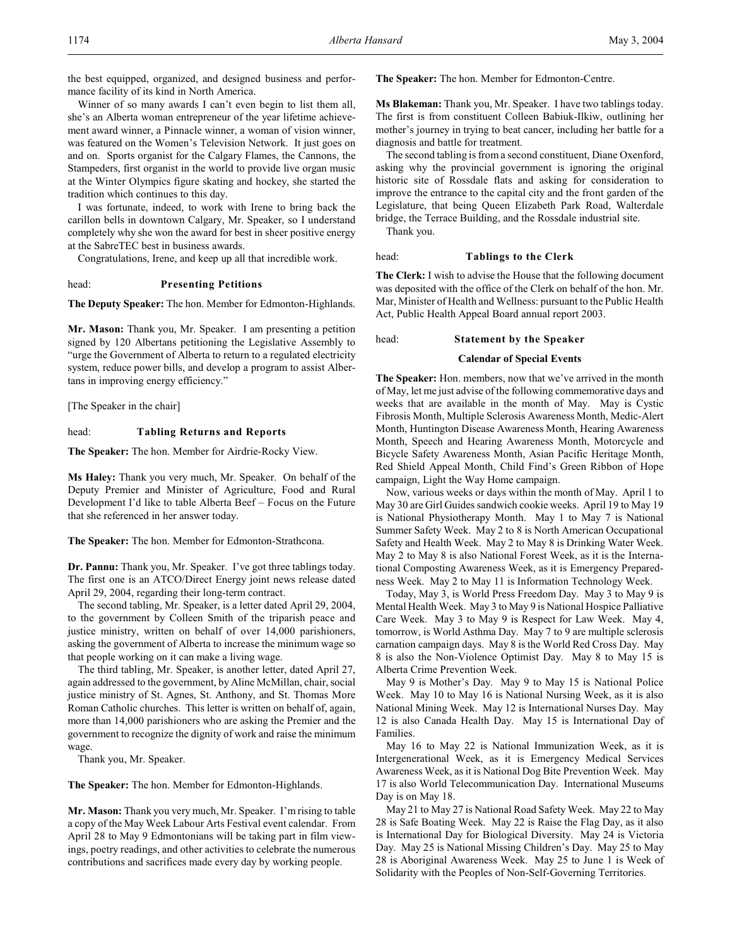the best equipped, organized, and designed business and performance facility of its kind in North America.

Winner of so many awards I can't even begin to list them all, she's an Alberta woman entrepreneur of the year lifetime achievement award winner, a Pinnacle winner, a woman of vision winner, was featured on the Women's Television Network. It just goes on and on. Sports organist for the Calgary Flames, the Cannons, the Stampeders, first organist in the world to provide live organ music at the Winter Olympics figure skating and hockey, she started the tradition which continues to this day.

I was fortunate, indeed, to work with Irene to bring back the carillon bells in downtown Calgary, Mr. Speaker, so I understand completely why she won the award for best in sheer positive energy at the SabreTEC best in business awards.

Congratulations, Irene, and keep up all that incredible work.

#### head: **Presenting Petitions**

**The Deputy Speaker:** The hon. Member for Edmonton-Highlands.

**Mr. Mason:** Thank you, Mr. Speaker. I am presenting a petition signed by 120 Albertans petitioning the Legislative Assembly to "urge the Government of Alberta to return to a regulated electricity system, reduce power bills, and develop a program to assist Albertans in improving energy efficiency."

[The Speaker in the chair]

#### head: **Tabling Returns and Reports**

**The Speaker:** The hon. Member for Airdrie-Rocky View.

**Ms Haley:** Thank you very much, Mr. Speaker. On behalf of the Deputy Premier and Minister of Agriculture, Food and Rural Development I'd like to table Alberta Beef – Focus on the Future that she referenced in her answer today.

**The Speaker:** The hon. Member for Edmonton-Strathcona.

**Dr. Pannu:** Thank you, Mr. Speaker. I've got three tablings today. The first one is an ATCO/Direct Energy joint news release dated April 29, 2004, regarding their long-term contract.

The second tabling, Mr. Speaker, is a letter dated April 29, 2004, to the government by Colleen Smith of the triparish peace and justice ministry, written on behalf of over 14,000 parishioners, asking the government of Alberta to increase the minimum wage so that people working on it can make a living wage.

The third tabling, Mr. Speaker, is another letter, dated April 27, again addressed to the government, by Aline McMillan, chair, social justice ministry of St. Agnes, St. Anthony, and St. Thomas More Roman Catholic churches. This letter is written on behalf of, again, more than 14,000 parishioners who are asking the Premier and the government to recognize the dignity of work and raise the minimum wage.

Thank you, Mr. Speaker.

**The Speaker:** The hon. Member for Edmonton-Highlands.

**Mr. Mason:** Thank you very much, Mr. Speaker. I'm rising to table a copy of the May Week Labour Arts Festival event calendar. From April 28 to May 9 Edmontonians will be taking part in film viewings, poetry readings, and other activities to celebrate the numerous contributions and sacrifices made every day by working people.

**The Speaker:** The hon. Member for Edmonton-Centre.

**Ms Blakeman:** Thank you, Mr. Speaker. I have two tablings today. The first is from constituent Colleen Babiuk-Ilkiw, outlining her mother's journey in trying to beat cancer, including her battle for a diagnosis and battle for treatment.

The second tabling is from a second constituent, Diane Oxenford, asking why the provincial government is ignoring the original historic site of Rossdale flats and asking for consideration to improve the entrance to the capital city and the front garden of the Legislature, that being Queen Elizabeth Park Road, Walterdale bridge, the Terrace Building, and the Rossdale industrial site.

Thank you.

#### head: **Tablings to the Clerk**

**The Clerk:** I wish to advise the House that the following document was deposited with the office of the Clerk on behalf of the hon. Mr. Mar, Minister of Health and Wellness: pursuant to the Public Health Act, Public Health Appeal Board annual report 2003.

head: **Statement by the Speaker**

#### **Calendar of Special Events**

**The Speaker:** Hon. members, now that we've arrived in the month of May, let me just advise of the following commemorative days and weeks that are available in the month of May. May is Cystic Fibrosis Month, Multiple Sclerosis Awareness Month, Medic-Alert Month, Huntington Disease Awareness Month, Hearing Awareness Month, Speech and Hearing Awareness Month, Motorcycle and Bicycle Safety Awareness Month, Asian Pacific Heritage Month, Red Shield Appeal Month, Child Find's Green Ribbon of Hope campaign, Light the Way Home campaign.

Now, various weeks or days within the month of May. April 1 to May 30 are Girl Guides sandwich cookie weeks. April 19 to May 19 is National Physiotherapy Month. May 1 to May 7 is National Summer Safety Week. May 2 to 8 is North American Occupational Safety and Health Week. May 2 to May 8 is Drinking Water Week. May 2 to May 8 is also National Forest Week, as it is the International Composting Awareness Week, as it is Emergency Preparedness Week. May 2 to May 11 is Information Technology Week.

Today, May 3, is World Press Freedom Day. May 3 to May 9 is Mental Health Week. May 3 to May 9 is National Hospice Palliative Care Week. May 3 to May 9 is Respect for Law Week. May 4, tomorrow, is World Asthma Day. May 7 to 9 are multiple sclerosis carnation campaign days. May 8 is the World Red Cross Day. May 8 is also the Non-Violence Optimist Day. May 8 to May 15 is Alberta Crime Prevention Week.

May 9 is Mother's Day. May 9 to May 15 is National Police Week. May 10 to May 16 is National Nursing Week, as it is also National Mining Week. May 12 is International Nurses Day. May 12 is also Canada Health Day. May 15 is International Day of Families.

May 16 to May 22 is National Immunization Week, as it is Intergenerational Week, as it is Emergency Medical Services Awareness Week, as it is National Dog Bite Prevention Week. May 17 is also World Telecommunication Day. International Museums Day is on May 18.

May 21 to May 27 is National Road Safety Week. May 22 to May 28 is Safe Boating Week. May 22 is Raise the Flag Day, as it also is International Day for Biological Diversity. May 24 is Victoria Day. May 25 is National Missing Children's Day. May 25 to May 28 is Aboriginal Awareness Week. May 25 to June 1 is Week of Solidarity with the Peoples of Non-Self-Governing Territories.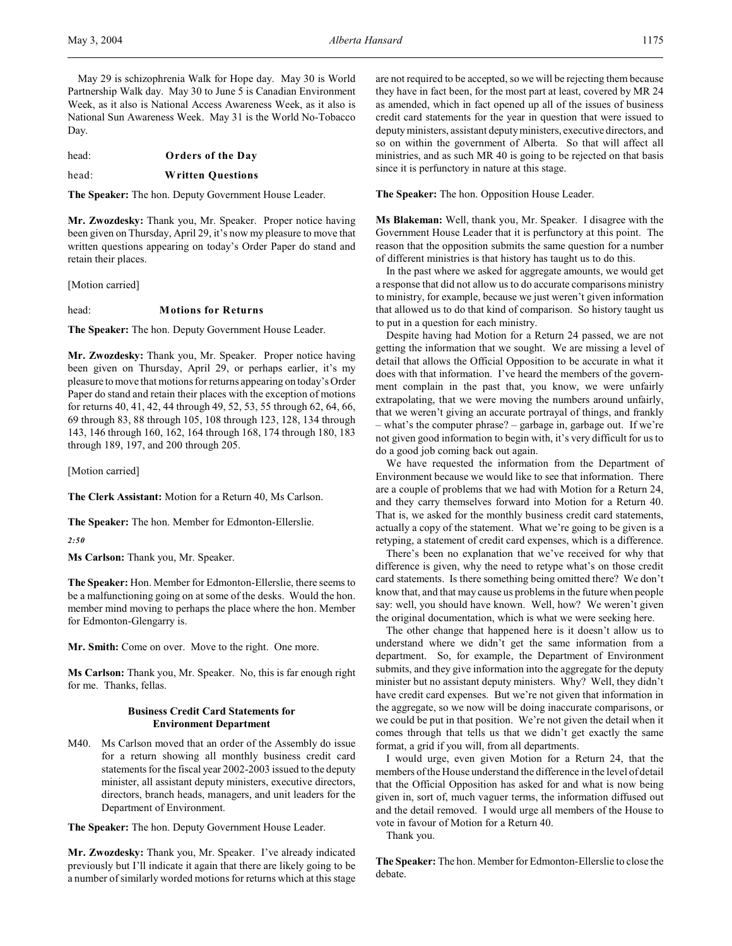May 29 is schizophrenia Walk for Hope day. May 30 is World Partnership Walk day. May 30 to June 5 is Canadian Environment Week, as it also is National Access Awareness Week, as it also is National Sun Awareness Week. May 31 is the World No-Tobacco Day.

head: **Orders of the Day**

## head: **Written Questions**

**The Speaker:** The hon. Deputy Government House Leader.

**Mr. Zwozdesky:** Thank you, Mr. Speaker. Proper notice having been given on Thursday, April 29, it's now my pleasure to move that written questions appearing on today's Order Paper do stand and retain their places.

[Motion carried]

## head: **Motions for Returns**

**The Speaker:** The hon. Deputy Government House Leader.

**Mr. Zwozdesky:** Thank you, Mr. Speaker. Proper notice having been given on Thursday, April 29, or perhaps earlier, it's my pleasure to move that motions for returns appearing on today's Order Paper do stand and retain their places with the exception of motions for returns 40, 41, 42, 44 through 49, 52, 53, 55 through 62, 64, 66, 69 through 83, 88 through 105, 108 through 123, 128, 134 through 143, 146 through 160, 162, 164 through 168, 174 through 180, 183 through 189, 197, and 200 through 205.

[Motion carried]

**The Clerk Assistant:** Motion for a Return 40, Ms Carlson.

**The Speaker:** The hon. Member for Edmonton-Ellerslie.

*2:50*

**Ms Carlson:** Thank you, Mr. Speaker.

**The Speaker:** Hon. Member for Edmonton-Ellerslie, there seems to be a malfunctioning going on at some of the desks. Would the hon. member mind moving to perhaps the place where the hon. Member for Edmonton-Glengarry is.

**Mr. Smith:** Come on over. Move to the right. One more.

**Ms Carlson:** Thank you, Mr. Speaker. No, this is far enough right for me. Thanks, fellas.

## **Business Credit Card Statements for Environment Department**

M40. Ms Carlson moved that an order of the Assembly do issue for a return showing all monthly business credit card statements for the fiscal year 2002-2003 issued to the deputy minister, all assistant deputy ministers, executive directors, directors, branch heads, managers, and unit leaders for the Department of Environment.

**The Speaker:** The hon. Deputy Government House Leader.

**Mr. Zwozdesky:** Thank you, Mr. Speaker. I've already indicated previously but I'll indicate it again that there are likely going to be a number of similarly worded motions for returns which at this stage

are not required to be accepted, so we will be rejecting them because they have in fact been, for the most part at least, covered by MR 24 as amended, which in fact opened up all of the issues of business credit card statements for the year in question that were issued to deputy ministers, assistant deputy ministers, executive directors, and so on within the government of Alberta. So that will affect all ministries, and as such MR 40 is going to be rejected on that basis since it is perfunctory in nature at this stage.

**The Speaker:** The hon. Opposition House Leader.

**Ms Blakeman:** Well, thank you, Mr. Speaker. I disagree with the Government House Leader that it is perfunctory at this point. The reason that the opposition submits the same question for a number of different ministries is that history has taught us to do this.

In the past where we asked for aggregate amounts, we would get a response that did not allow us to do accurate comparisons ministry to ministry, for example, because we just weren't given information that allowed us to do that kind of comparison. So history taught us to put in a question for each ministry.

Despite having had Motion for a Return 24 passed, we are not getting the information that we sought. We are missing a level of detail that allows the Official Opposition to be accurate in what it does with that information. I've heard the members of the government complain in the past that, you know, we were unfairly extrapolating, that we were moving the numbers around unfairly, that we weren't giving an accurate portrayal of things, and frankly – what's the computer phrase? – garbage in, garbage out. If we're not given good information to begin with, it's very difficult for us to do a good job coming back out again.

We have requested the information from the Department of Environment because we would like to see that information. There are a couple of problems that we had with Motion for a Return 24, and they carry themselves forward into Motion for a Return 40. That is, we asked for the monthly business credit card statements, actually a copy of the statement. What we're going to be given is a retyping, a statement of credit card expenses, which is a difference.

There's been no explanation that we've received for why that difference is given, why the need to retype what's on those credit card statements. Is there something being omitted there? We don't know that, and that may cause us problems in the future when people say: well, you should have known. Well, how? We weren't given the original documentation, which is what we were seeking here.

The other change that happened here is it doesn't allow us to understand where we didn't get the same information from a department. So, for example, the Department of Environment submits, and they give information into the aggregate for the deputy minister but no assistant deputy ministers. Why? Well, they didn't have credit card expenses. But we're not given that information in the aggregate, so we now will be doing inaccurate comparisons, or we could be put in that position. We're not given the detail when it comes through that tells us that we didn't get exactly the same format, a grid if you will, from all departments.

I would urge, even given Motion for a Return 24, that the members of the House understand the difference in the level of detail that the Official Opposition has asked for and what is now being given in, sort of, much vaguer terms, the information diffused out and the detail removed. I would urge all members of the House to vote in favour of Motion for a Return 40.

Thank you.

**The Speaker:** The hon. Member for Edmonton-Ellerslie to close the debate.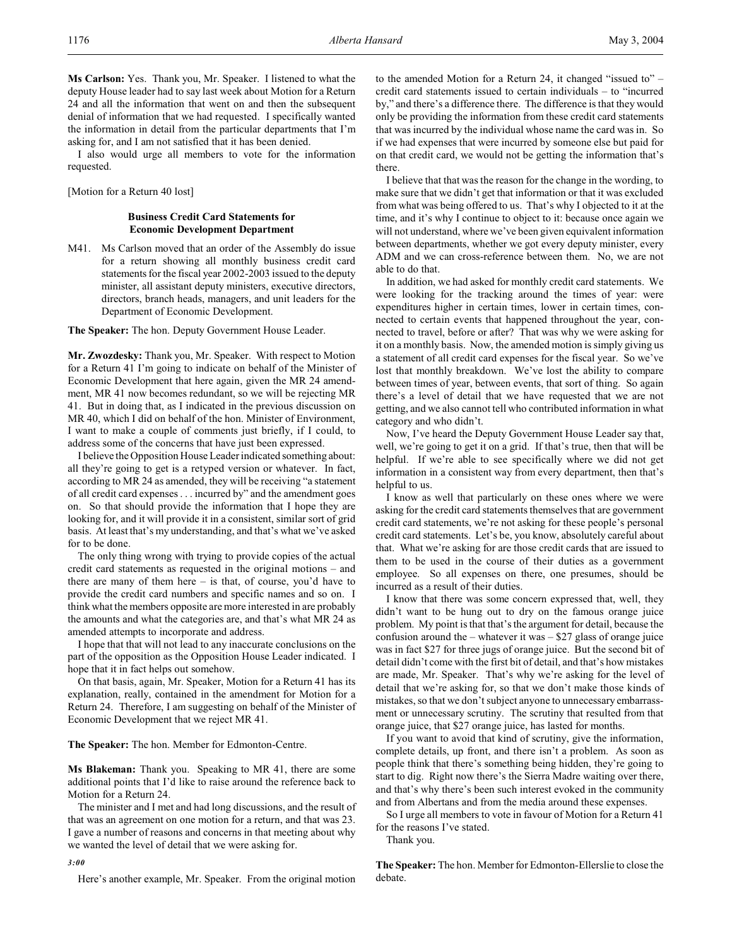**Ms Carlson:** Yes. Thank you, Mr. Speaker. I listened to what the deputy House leader had to say last week about Motion for a Return 24 and all the information that went on and then the subsequent denial of information that we had requested. I specifically wanted the information in detail from the particular departments that I'm asking for, and I am not satisfied that it has been denied.

I also would urge all members to vote for the information requested.

[Motion for a Return 40 lost]

## **Business Credit Card Statements for Economic Development Department**

M41. Ms Carlson moved that an order of the Assembly do issue for a return showing all monthly business credit card statements for the fiscal year 2002-2003 issued to the deputy minister, all assistant deputy ministers, executive directors, directors, branch heads, managers, and unit leaders for the Department of Economic Development.

**The Speaker:** The hon. Deputy Government House Leader.

**Mr. Zwozdesky:** Thank you, Mr. Speaker. With respect to Motion for a Return 41 I'm going to indicate on behalf of the Minister of Economic Development that here again, given the MR 24 amendment, MR 41 now becomes redundant, so we will be rejecting MR 41. But in doing that, as I indicated in the previous discussion on MR 40, which I did on behalf of the hon. Minister of Environment, I want to make a couple of comments just briefly, if I could, to address some of the concerns that have just been expressed.

I believe the Opposition House Leader indicated something about: all they're going to get is a retyped version or whatever. In fact, according to MR 24 as amended, they will be receiving "a statement of all credit card expenses . . . incurred by" and the amendment goes on. So that should provide the information that I hope they are looking for, and it will provide it in a consistent, similar sort of grid basis. At least that's my understanding, and that's what we've asked for to be done.

The only thing wrong with trying to provide copies of the actual credit card statements as requested in the original motions – and there are many of them here – is that, of course, you'd have to provide the credit card numbers and specific names and so on. I think what the members opposite are more interested in are probably the amounts and what the categories are, and that's what MR 24 as amended attempts to incorporate and address.

I hope that that will not lead to any inaccurate conclusions on the part of the opposition as the Opposition House Leader indicated. I hope that it in fact helps out somehow.

On that basis, again, Mr. Speaker, Motion for a Return 41 has its explanation, really, contained in the amendment for Motion for a Return 24. Therefore, I am suggesting on behalf of the Minister of Economic Development that we reject MR 41.

**The Speaker:** The hon. Member for Edmonton-Centre.

**Ms Blakeman:** Thank you. Speaking to MR 41, there are some additional points that I'd like to raise around the reference back to Motion for a Return 24.

The minister and I met and had long discussions, and the result of that was an agreement on one motion for a return, and that was 23. I gave a number of reasons and concerns in that meeting about why we wanted the level of detail that we were asking for.

*3:00*

Here's another example, Mr. Speaker. From the original motion

to the amended Motion for a Return 24, it changed "issued to" – credit card statements issued to certain individuals – to "incurred by," and there's a difference there. The difference is that they would only be providing the information from these credit card statements that was incurred by the individual whose name the card was in. So if we had expenses that were incurred by someone else but paid for on that credit card, we would not be getting the information that's there.

I believe that that was the reason for the change in the wording, to make sure that we didn't get that information or that it was excluded from what was being offered to us. That's why I objected to it at the time, and it's why I continue to object to it: because once again we will not understand, where we've been given equivalent information between departments, whether we got every deputy minister, every ADM and we can cross-reference between them. No, we are not able to do that.

In addition, we had asked for monthly credit card statements. We were looking for the tracking around the times of year: were expenditures higher in certain times, lower in certain times, connected to certain events that happened throughout the year, connected to travel, before or after? That was why we were asking for it on a monthly basis. Now, the amended motion is simply giving us a statement of all credit card expenses for the fiscal year. So we've lost that monthly breakdown. We've lost the ability to compare between times of year, between events, that sort of thing. So again there's a level of detail that we have requested that we are not getting, and we also cannot tell who contributed information in what category and who didn't.

Now, I've heard the Deputy Government House Leader say that, well, we're going to get it on a grid. If that's true, then that will be helpful. If we're able to see specifically where we did not get information in a consistent way from every department, then that's helpful to us.

I know as well that particularly on these ones where we were asking for the credit card statements themselves that are government credit card statements, we're not asking for these people's personal credit card statements. Let's be, you know, absolutely careful about that. What we're asking for are those credit cards that are issued to them to be used in the course of their duties as a government employee. So all expenses on there, one presumes, should be incurred as a result of their duties.

I know that there was some concern expressed that, well, they didn't want to be hung out to dry on the famous orange juice problem. My point is that that's the argument for detail, because the confusion around the – whatever it was – \$27 glass of orange juice was in fact \$27 for three jugs of orange juice. But the second bit of detail didn't come with the first bit of detail, and that's how mistakes are made, Mr. Speaker. That's why we're asking for the level of detail that we're asking for, so that we don't make those kinds of mistakes, so that we don't subject anyone to unnecessary embarrassment or unnecessary scrutiny. The scrutiny that resulted from that orange juice, that \$27 orange juice, has lasted for months.

If you want to avoid that kind of scrutiny, give the information, complete details, up front, and there isn't a problem. As soon as people think that there's something being hidden, they're going to start to dig. Right now there's the Sierra Madre waiting over there, and that's why there's been such interest evoked in the community and from Albertans and from the media around these expenses.

So I urge all members to vote in favour of Motion for a Return 41 for the reasons I've stated.

Thank you.

**The Speaker:** The hon. Member for Edmonton-Ellerslie to close the debate.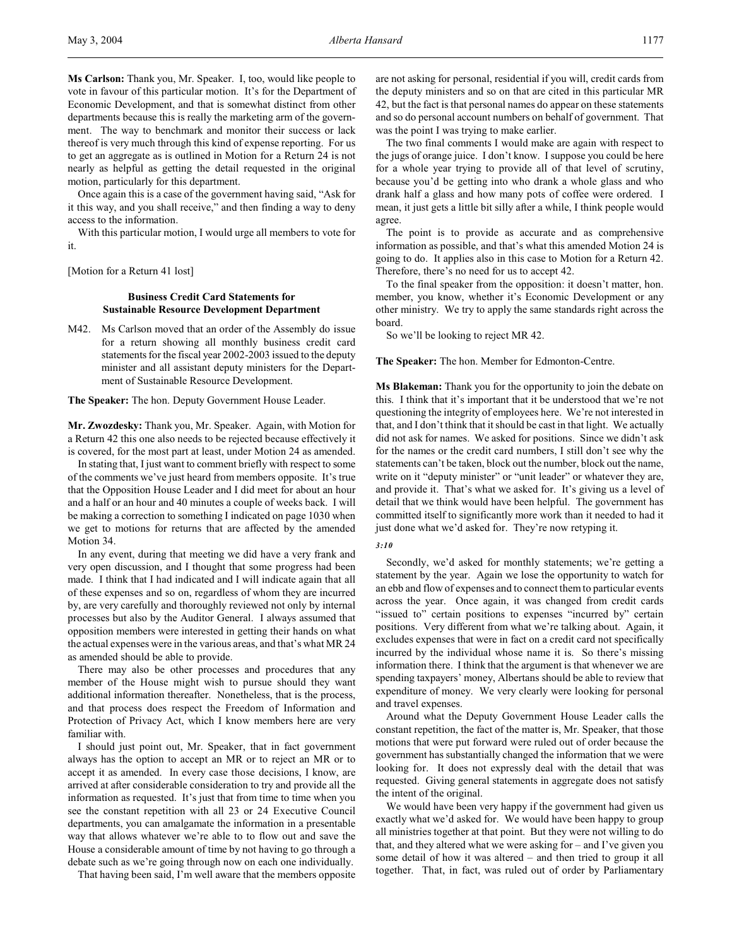**Ms Carlson:** Thank you, Mr. Speaker. I, too, would like people to vote in favour of this particular motion. It's for the Department of Economic Development, and that is somewhat distinct from other departments because this is really the marketing arm of the government. The way to benchmark and monitor their success or lack thereof is very much through this kind of expense reporting. For us to get an aggregate as is outlined in Motion for a Return 24 is not nearly as helpful as getting the detail requested in the original motion, particularly for this department.

Once again this is a case of the government having said, "Ask for it this way, and you shall receive," and then finding a way to deny access to the information.

With this particular motion, I would urge all members to vote for it.

[Motion for a Return 41 lost]

## **Business Credit Card Statements for Sustainable Resource Development Department**

M42. Ms Carlson moved that an order of the Assembly do issue for a return showing all monthly business credit card statements for the fiscal year 2002-2003 issued to the deputy minister and all assistant deputy ministers for the Department of Sustainable Resource Development.

**The Speaker:** The hon. Deputy Government House Leader.

**Mr. Zwozdesky:** Thank you, Mr. Speaker. Again, with Motion for a Return 42 this one also needs to be rejected because effectively it is covered, for the most part at least, under Motion 24 as amended.

In stating that, I just want to comment briefly with respect to some of the comments we've just heard from members opposite. It's true that the Opposition House Leader and I did meet for about an hour and a half or an hour and 40 minutes a couple of weeks back. I will be making a correction to something I indicated on page 1030 when we get to motions for returns that are affected by the amended Motion 34.

In any event, during that meeting we did have a very frank and very open discussion, and I thought that some progress had been made. I think that I had indicated and I will indicate again that all of these expenses and so on, regardless of whom they are incurred by, are very carefully and thoroughly reviewed not only by internal processes but also by the Auditor General. I always assumed that opposition members were interested in getting their hands on what the actual expenses were in the various areas, and that's what MR 24 as amended should be able to provide.

There may also be other processes and procedures that any member of the House might wish to pursue should they want additional information thereafter. Nonetheless, that is the process, and that process does respect the Freedom of Information and Protection of Privacy Act, which I know members here are very familiar with.

I should just point out, Mr. Speaker, that in fact government always has the option to accept an MR or to reject an MR or to accept it as amended. In every case those decisions, I know, are arrived at after considerable consideration to try and provide all the information as requested. It's just that from time to time when you see the constant repetition with all 23 or 24 Executive Council departments, you can amalgamate the information in a presentable way that allows whatever we're able to to flow out and save the House a considerable amount of time by not having to go through a debate such as we're going through now on each one individually.

That having been said, I'm well aware that the members opposite

are not asking for personal, residential if you will, credit cards from the deputy ministers and so on that are cited in this particular MR 42, but the fact is that personal names do appear on these statements and so do personal account numbers on behalf of government. That was the point I was trying to make earlier.

The two final comments I would make are again with respect to the jugs of orange juice. I don't know. I suppose you could be here for a whole year trying to provide all of that level of scrutiny, because you'd be getting into who drank a whole glass and who drank half a glass and how many pots of coffee were ordered. I mean, it just gets a little bit silly after a while, I think people would agree.

The point is to provide as accurate and as comprehensive information as possible, and that's what this amended Motion 24 is going to do. It applies also in this case to Motion for a Return 42. Therefore, there's no need for us to accept 42.

To the final speaker from the opposition: it doesn't matter, hon. member, you know, whether it's Economic Development or any other ministry. We try to apply the same standards right across the board.

So we'll be looking to reject MR 42.

**The Speaker:** The hon. Member for Edmonton-Centre.

**Ms Blakeman:** Thank you for the opportunity to join the debate on this. I think that it's important that it be understood that we're not questioning the integrity of employees here. We're not interested in that, and I don't think that it should be cast in that light. We actually did not ask for names. We asked for positions. Since we didn't ask for the names or the credit card numbers, I still don't see why the statements can't be taken, block out the number, block out the name, write on it "deputy minister" or "unit leader" or whatever they are, and provide it. That's what we asked for. It's giving us a level of detail that we think would have been helpful. The government has committed itself to significantly more work than it needed to had it just done what we'd asked for. They're now retyping it.

### *3:10*

Secondly, we'd asked for monthly statements; we're getting a statement by the year. Again we lose the opportunity to watch for an ebb and flow of expenses and to connect them to particular events across the year. Once again, it was changed from credit cards "issued to" certain positions to expenses "incurred by" certain positions. Very different from what we're talking about. Again, it excludes expenses that were in fact on a credit card not specifically incurred by the individual whose name it is. So there's missing information there. I think that the argument is that whenever we are spending taxpayers' money, Albertans should be able to review that expenditure of money. We very clearly were looking for personal and travel expenses.

Around what the Deputy Government House Leader calls the constant repetition, the fact of the matter is, Mr. Speaker, that those motions that were put forward were ruled out of order because the government has substantially changed the information that we were looking for. It does not expressly deal with the detail that was requested. Giving general statements in aggregate does not satisfy the intent of the original.

We would have been very happy if the government had given us exactly what we'd asked for. We would have been happy to group all ministries together at that point. But they were not willing to do that, and they altered what we were asking for – and I've given you some detail of how it was altered – and then tried to group it all together. That, in fact, was ruled out of order by Parliamentary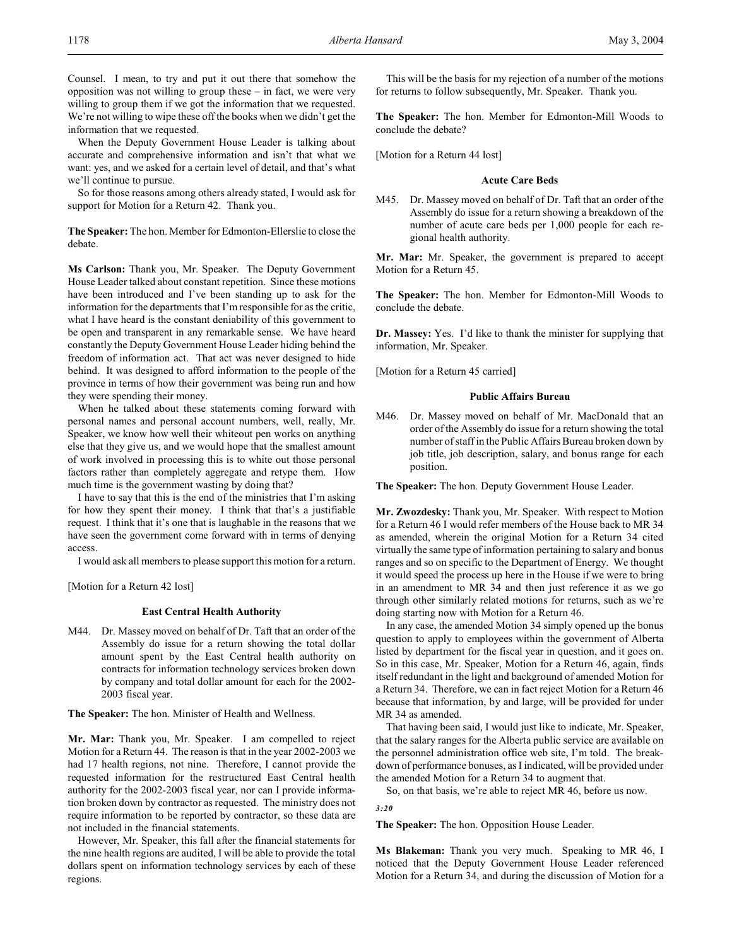Counsel. I mean, to try and put it out there that somehow the opposition was not willing to group these – in fact, we were very willing to group them if we got the information that we requested. We're not willing to wipe these off the books when we didn't get the information that we requested.

When the Deputy Government House Leader is talking about accurate and comprehensive information and isn't that what we want: yes, and we asked for a certain level of detail, and that's what we'll continue to pursue.

So for those reasons among others already stated, I would ask for support for Motion for a Return 42. Thank you.

**The Speaker:** The hon. Member for Edmonton-Ellerslie to close the debate.

**Ms Carlson:** Thank you, Mr. Speaker. The Deputy Government House Leader talked about constant repetition. Since these motions have been introduced and I've been standing up to ask for the information for the departments that I'm responsible for as the critic, what I have heard is the constant deniability of this government to be open and transparent in any remarkable sense. We have heard constantly the Deputy Government House Leader hiding behind the freedom of information act. That act was never designed to hide behind. It was designed to afford information to the people of the province in terms of how their government was being run and how they were spending their money.

When he talked about these statements coming forward with personal names and personal account numbers, well, really, Mr. Speaker, we know how well their whiteout pen works on anything else that they give us, and we would hope that the smallest amount of work involved in processing this is to white out those personal factors rather than completely aggregate and retype them. How much time is the government wasting by doing that?

I have to say that this is the end of the ministries that I'm asking for how they spent their money. I think that that's a justifiable request. I think that it's one that is laughable in the reasons that we have seen the government come forward with in terms of denying access.

I would ask all members to please support this motion for a return.

[Motion for a Return 42 lost]

#### **East Central Health Authority**

M44. Dr. Massey moved on behalf of Dr. Taft that an order of the Assembly do issue for a return showing the total dollar amount spent by the East Central health authority on contracts for information technology services broken down by company and total dollar amount for each for the 2002- 2003 fiscal year.

**The Speaker:** The hon. Minister of Health and Wellness.

**Mr. Mar:** Thank you, Mr. Speaker. I am compelled to reject Motion for a Return 44. The reason is that in the year 2002-2003 we had 17 health regions, not nine. Therefore, I cannot provide the requested information for the restructured East Central health authority for the 2002-2003 fiscal year, nor can I provide information broken down by contractor as requested. The ministry does not require information to be reported by contractor, so these data are not included in the financial statements.

However, Mr. Speaker, this fall after the financial statements for the nine health regions are audited, I will be able to provide the total dollars spent on information technology services by each of these regions.

This will be the basis for my rejection of a number of the motions for returns to follow subsequently, Mr. Speaker. Thank you.

**The Speaker:** The hon. Member for Edmonton-Mill Woods to conclude the debate?

[Motion for a Return 44 lost]

#### **Acute Care Beds**

M45. Dr. Massey moved on behalf of Dr. Taft that an order of the Assembly do issue for a return showing a breakdown of the number of acute care beds per 1,000 people for each regional health authority.

**Mr. Mar:** Mr. Speaker, the government is prepared to accept Motion for a Return 45.

**The Speaker:** The hon. Member for Edmonton-Mill Woods to conclude the debate.

**Dr. Massey:** Yes. I'd like to thank the minister for supplying that information, Mr. Speaker.

[Motion for a Return 45 carried]

#### **Public Affairs Bureau**

M46. Dr. Massey moved on behalf of Mr. MacDonald that an order of the Assembly do issue for a return showing the total number of staff in the Public Affairs Bureau broken down by job title, job description, salary, and bonus range for each position.

**The Speaker:** The hon. Deputy Government House Leader.

**Mr. Zwozdesky:** Thank you, Mr. Speaker. With respect to Motion for a Return 46 I would refer members of the House back to MR 34 as amended, wherein the original Motion for a Return 34 cited virtually the same type of information pertaining to salary and bonus ranges and so on specific to the Department of Energy. We thought it would speed the process up here in the House if we were to bring in an amendment to MR 34 and then just reference it as we go through other similarly related motions for returns, such as we're doing starting now with Motion for a Return 46.

In any case, the amended Motion 34 simply opened up the bonus question to apply to employees within the government of Alberta listed by department for the fiscal year in question, and it goes on. So in this case, Mr. Speaker, Motion for a Return 46, again, finds itself redundant in the light and background of amended Motion for a Return 34. Therefore, we can in fact reject Motion for a Return 46 because that information, by and large, will be provided for under MR 34 as amended.

That having been said, I would just like to indicate, Mr. Speaker, that the salary ranges for the Alberta public service are available on the personnel administration office web site, I'm told. The breakdown of performance bonuses, as I indicated, will be provided under the amended Motion for a Return 34 to augment that.

So, on that basis, we're able to reject MR 46, before us now.

#### *3:20*

**The Speaker:** The hon. Opposition House Leader.

**Ms Blakeman:** Thank you very much. Speaking to MR 46, I noticed that the Deputy Government House Leader referenced Motion for a Return 34, and during the discussion of Motion for a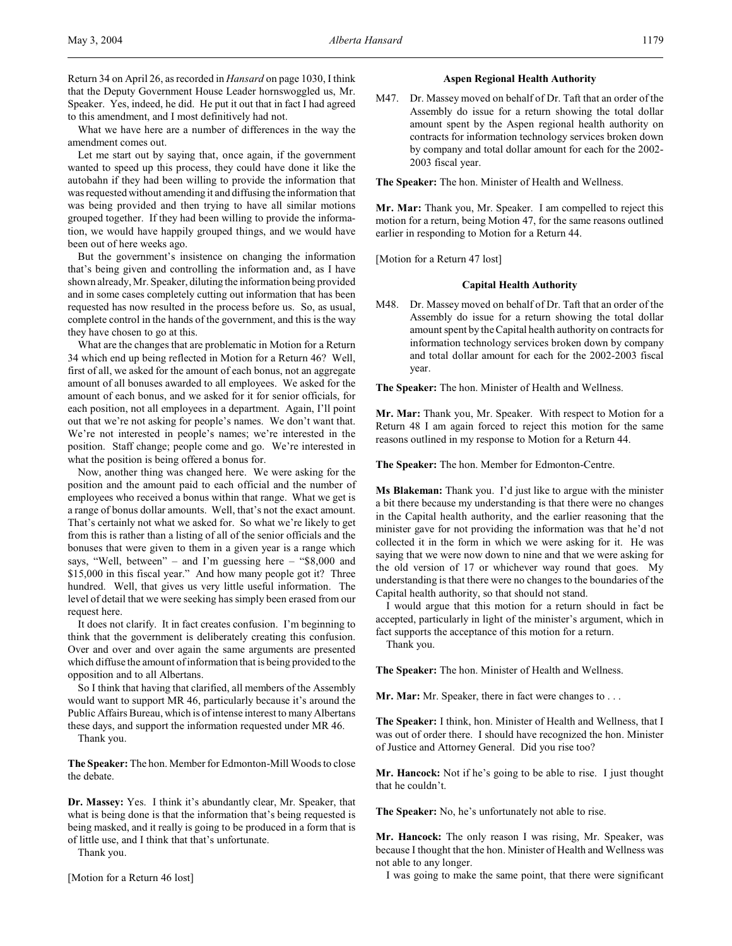Return 34 on April 26, as recorded in *Hansard* on page 1030, I think that the Deputy Government House Leader hornswoggled us, Mr. Speaker. Yes, indeed, he did. He put it out that in fact I had agreed to this amendment, and I most definitively had not.

What we have here are a number of differences in the way the amendment comes out.

Let me start out by saying that, once again, if the government wanted to speed up this process, they could have done it like the autobahn if they had been willing to provide the information that was requested without amending it and diffusing the information that was being provided and then trying to have all similar motions grouped together. If they had been willing to provide the information, we would have happily grouped things, and we would have been out of here weeks ago.

But the government's insistence on changing the information that's being given and controlling the information and, as I have shown already, Mr. Speaker, diluting the information being provided and in some cases completely cutting out information that has been requested has now resulted in the process before us. So, as usual, complete control in the hands of the government, and this is the way they have chosen to go at this.

What are the changes that are problematic in Motion for a Return 34 which end up being reflected in Motion for a Return 46? Well, first of all, we asked for the amount of each bonus, not an aggregate amount of all bonuses awarded to all employees. We asked for the amount of each bonus, and we asked for it for senior officials, for each position, not all employees in a department. Again, I'll point out that we're not asking for people's names. We don't want that. We're not interested in people's names; we're interested in the position. Staff change; people come and go. We're interested in what the position is being offered a bonus for.

Now, another thing was changed here. We were asking for the position and the amount paid to each official and the number of employees who received a bonus within that range. What we get is a range of bonus dollar amounts. Well, that's not the exact amount. That's certainly not what we asked for. So what we're likely to get from this is rather than a listing of all of the senior officials and the bonuses that were given to them in a given year is a range which says, "Well, between" – and I'm guessing here – "\$8,000 and \$15,000 in this fiscal year." And how many people got it? Three hundred. Well, that gives us very little useful information. The level of detail that we were seeking has simply been erased from our request here.

It does not clarify. It in fact creates confusion. I'm beginning to think that the government is deliberately creating this confusion. Over and over and over again the same arguments are presented which diffuse the amount of information that is being provided to the opposition and to all Albertans.

So I think that having that clarified, all members of the Assembly would want to support MR 46, particularly because it's around the Public Affairs Bureau, which is ofintense interest to many Albertans these days, and support the information requested under MR 46.

Thank you.

**The Speaker:** The hon. Member for Edmonton-Mill Woods to close the debate.

**Dr. Massey:** Yes. I think it's abundantly clear, Mr. Speaker, that what is being done is that the information that's being requested is being masked, and it really is going to be produced in a form that is of little use, and I think that that's unfortunate.

Thank you.

[Motion for a Return 46 lost]

## **Aspen Regional Health Authority**

M47. Dr. Massey moved on behalf of Dr. Taft that an order of the Assembly do issue for a return showing the total dollar amount spent by the Aspen regional health authority on contracts for information technology services broken down by company and total dollar amount for each for the 2002- 2003 fiscal year.

**The Speaker:** The hon. Minister of Health and Wellness.

**Mr. Mar:** Thank you, Mr. Speaker. I am compelled to reject this motion for a return, being Motion 47, for the same reasons outlined earlier in responding to Motion for a Return 44.

[Motion for a Return 47 lost]

#### **Capital Health Authority**

M48. Dr. Massey moved on behalf of Dr. Taft that an order of the Assembly do issue for a return showing the total dollar amount spent by theCapital health authority on contracts for information technology services broken down by company and total dollar amount for each for the 2002-2003 fiscal year.

**The Speaker:** The hon. Minister of Health and Wellness.

**Mr. Mar:** Thank you, Mr. Speaker. With respect to Motion for a Return 48 I am again forced to reject this motion for the same reasons outlined in my response to Motion for a Return 44.

**The Speaker:** The hon. Member for Edmonton-Centre.

**Ms Blakeman:** Thank you. I'd just like to argue with the minister a bit there because my understanding is that there were no changes in the Capital health authority, and the earlier reasoning that the minister gave for not providing the information was that he'd not collected it in the form in which we were asking for it. He was saying that we were now down to nine and that we were asking for the old version of 17 or whichever way round that goes. My understanding is that there were no changes to the boundaries of the Capital health authority, so that should not stand.

I would argue that this motion for a return should in fact be accepted, particularly in light of the minister's argument, which in fact supports the acceptance of this motion for a return.

Thank you.

**The Speaker:** The hon. Minister of Health and Wellness.

**Mr. Mar:** Mr. Speaker, there in fact were changes to . . .

**The Speaker:** I think, hon. Minister of Health and Wellness, that I was out of order there. I should have recognized the hon. Minister of Justice and Attorney General. Did you rise too?

**Mr. Hancock:** Not if he's going to be able to rise. I just thought that he couldn't.

**The Speaker:** No, he's unfortunately not able to rise.

**Mr. Hancock:** The only reason I was rising, Mr. Speaker, was because I thought that the hon. Minister of Health and Wellness was not able to any longer.

I was going to make the same point, that there were significant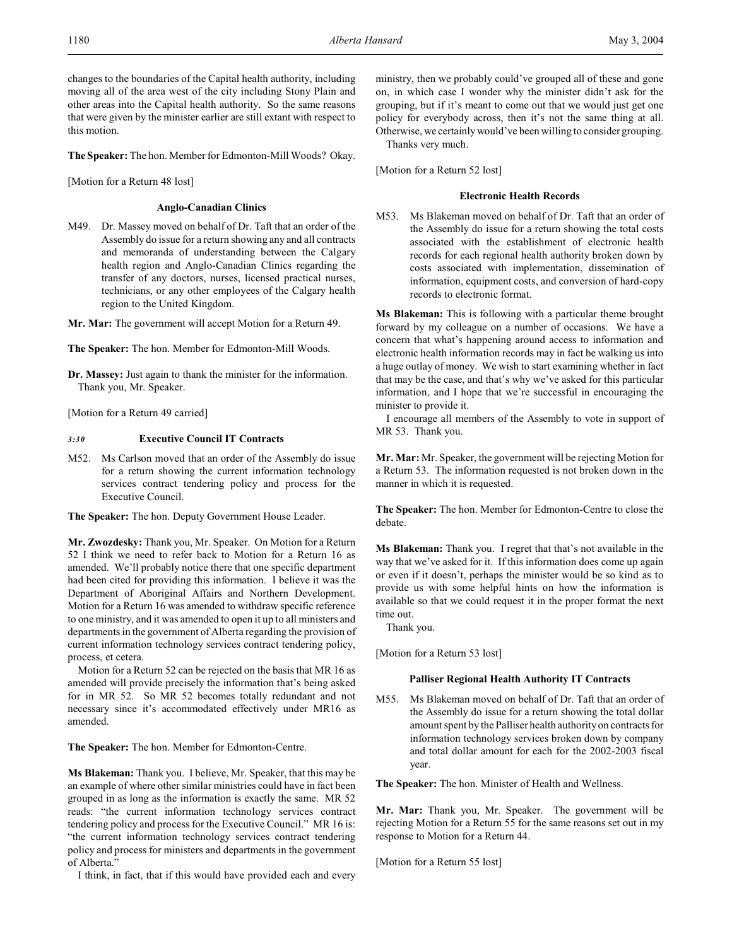changes to the boundaries of the Capital health authority, including moving all of the area west of the city including Stony Plain and other areas into the Capital health authority. So the same reasons that were given by the minister earlier are still extant with respect to this motion.

**The Speaker:** The hon. Member for Edmonton-Mill Woods? Okay.

[Motion for a Return 48 lost]

#### **Anglo-Canadian Clinics**

M49. Dr. Massey moved on behalf of Dr. Taft that an order of the Assembly do issue for a return showing any and all contracts and memoranda of understanding between the Calgary health region and Anglo-Canadian Clinics regarding the transfer of any doctors, nurses, licensed practical nurses, technicians, or any other employees of the Calgary health region to the United Kingdom.

**Mr. Mar:** The government will accept Motion for a Return 49.

**The Speaker:** The hon. Member for Edmonton-Mill Woods.

**Dr. Massey:** Just again to thank the minister for the information. Thank you, Mr. Speaker.

[Motion for a Return 49 carried]

## *3:30* **Executive Council IT Contracts**

M52. Ms Carlson moved that an order of the Assembly do issue for a return showing the current information technology services contract tendering policy and process for the Executive Council.

**The Speaker:** The hon. Deputy Government House Leader.

**Mr. Zwozdesky:** Thank you, Mr. Speaker. On Motion for a Return 52 I think we need to refer back to Motion for a Return 16 as amended. We'll probably notice there that one specific department had been cited for providing this information. I believe it was the Department of Aboriginal Affairs and Northern Development. Motion for a Return 16 was amended to withdraw specific reference to one ministry, and it was amended to open it up to all ministers and departments in the government of Alberta regarding the provision of current information technology services contract tendering policy, process, et cetera.

Motion for a Return 52 can be rejected on the basis that MR 16 as amended will provide precisely the information that's being asked for in MR 52. So MR 52 becomes totally redundant and not necessary since it's accommodated effectively under MR16 as amended.

**The Speaker:** The hon. Member for Edmonton-Centre.

**Ms Blakeman:** Thank you. I believe, Mr. Speaker, that this may be an example of where other similar ministries could have in fact been grouped in as long as the information is exactly the same. MR 52 reads: "the current information technology services contract tendering policy and process for the Executive Council." MR 16 is: "the current information technology services contract tendering policy and process for ministers and departments in the government of Alberta."

I think, in fact, that if this would have provided each and every

ministry, then we probably could've grouped all of these and gone on, in which case I wonder why the minister didn't ask for the grouping, but if it's meant to come out that we would just get one policy for everybody across, then it's not the same thing at all. Otherwise, we certainly would've been willing to consider grouping.

Thanks very much.

[Motion for a Return 52 lost]

## **Electronic Health Records**

M53. Ms Blakeman moved on behalf of Dr. Taft that an order of the Assembly do issue for a return showing the total costs associated with the establishment of electronic health records for each regional health authority broken down by costs associated with implementation, dissemination of information, equipment costs, and conversion of hard-copy records to electronic format.

**Ms Blakeman:** This is following with a particular theme brought forward by my colleague on a number of occasions. We have a concern that what's happening around access to information and electronic health information records may in fact be walking us into a huge outlay of money. We wish to start examining whether in fact that may be the case, and that's why we've asked for this particular information, and I hope that we're successful in encouraging the minister to provide it.

I encourage all members of the Assembly to vote in support of MR 53. Thank you.

**Mr. Mar:** Mr. Speaker, the government will be rejecting Motion for a Return 53. The information requested is not broken down in the manner in which it is requested.

**The Speaker:** The hon. Member for Edmonton-Centre to close the debate.

**Ms Blakeman:** Thank you. I regret that that's not available in the way that we've asked for it. If this information does come up again or even if it doesn't, perhaps the minister would be so kind as to provide us with some helpful hints on how the information is available so that we could request it in the proper format the next time out.

Thank you.

[Motion for a Return 53 lost]

#### **Palliser Regional Health Authority IT Contracts**

M55. Ms Blakeman moved on behalf of Dr. Taft that an order of the Assembly do issue for a return showing the total dollar amount spent by the Palliser health authority on contracts for information technology services broken down by company and total dollar amount for each for the 2002-2003 fiscal year.

**The Speaker:** The hon. Minister of Health and Wellness.

**Mr. Mar:** Thank you, Mr. Speaker. The government will be rejecting Motion for a Return 55 for the same reasons set out in my response to Motion for a Return 44.

[Motion for a Return 55 lost]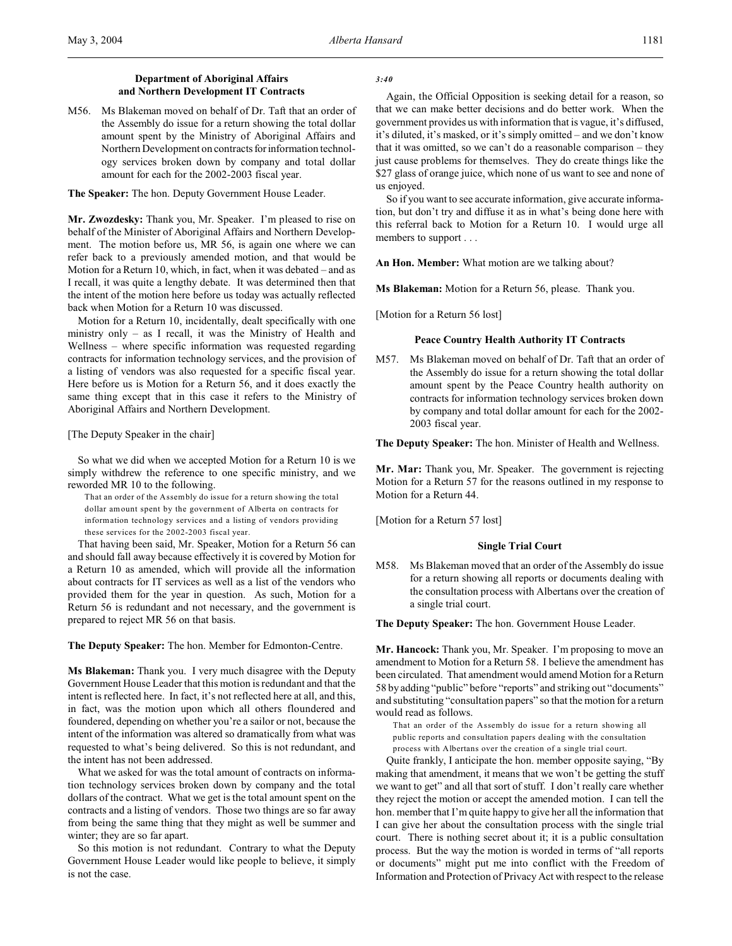## **Department of Aboriginal Affairs and Northern Development IT Contracts**

M56. Ms Blakeman moved on behalf of Dr. Taft that an order of the Assembly do issue for a return showing the total dollar amount spent by the Ministry of Aboriginal Affairs and Northern Development on contracts for information technology services broken down by company and total dollar amount for each for the 2002-2003 fiscal year.

**The Speaker:** The hon. Deputy Government House Leader.

**Mr. Zwozdesky:** Thank you, Mr. Speaker. I'm pleased to rise on behalf of the Minister of Aboriginal Affairs and Northern Development. The motion before us, MR 56, is again one where we can refer back to a previously amended motion, and that would be Motion for a Return 10, which, in fact, when it was debated – and as I recall, it was quite a lengthy debate. It was determined then that the intent of the motion here before us today was actually reflected back when Motion for a Return 10 was discussed.

Motion for a Return 10, incidentally, dealt specifically with one ministry only – as I recall, it was the Ministry of Health and Wellness – where specific information was requested regarding contracts for information technology services, and the provision of a listing of vendors was also requested for a specific fiscal year. Here before us is Motion for a Return 56, and it does exactly the same thing except that in this case it refers to the Ministry of Aboriginal Affairs and Northern Development.

#### [The Deputy Speaker in the chair]

So what we did when we accepted Motion for a Return 10 is we simply withdrew the reference to one specific ministry, and we reworded MR 10 to the following.

That an order of the Assembly do issue for a return showing the total dollar amount spent by the government of Alberta on contracts for information technology services and a listing of vendors providing these services for the 2002-2003 fiscal year.

That having been said, Mr. Speaker, Motion for a Return 56 can and should fall away because effectively it is covered by Motion for a Return 10 as amended, which will provide all the information about contracts for IT services as well as a list of the vendors who provided them for the year in question. As such, Motion for a Return 56 is redundant and not necessary, and the government is prepared to reject MR 56 on that basis.

**The Deputy Speaker:** The hon. Member for Edmonton-Centre.

**Ms Blakeman:** Thank you. I very much disagree with the Deputy Government House Leader that this motion is redundant and that the intent is reflected here. In fact, it's not reflected here at all, and this, in fact, was the motion upon which all others floundered and foundered, depending on whether you're a sailor or not, because the intent of the information was altered so dramatically from what was requested to what's being delivered. So this is not redundant, and the intent has not been addressed.

What we asked for was the total amount of contracts on information technology services broken down by company and the total dollars of the contract. What we get is the total amount spent on the contracts and a listing of vendors. Those two things are so far away from being the same thing that they might as well be summer and winter; they are so far apart.

So this motion is not redundant. Contrary to what the Deputy Government House Leader would like people to believe, it simply is not the case.

#### *3:40*

Again, the Official Opposition is seeking detail for a reason, so that we can make better decisions and do better work. When the government provides us with information that is vague, it's diffused, it's diluted, it's masked, or it's simply omitted – and we don't know that it was omitted, so we can't do a reasonable comparison – they just cause problems for themselves. They do create things like the \$27 glass of orange juice, which none of us want to see and none of us enjoyed.

So if you want to see accurate information, give accurate information, but don't try and diffuse it as in what's being done here with this referral back to Motion for a Return 10. I would urge all members to support . . .

**An Hon. Member:** What motion are we talking about?

**Ms Blakeman:** Motion for a Return 56, please. Thank you.

[Motion for a Return 56 lost]

## **Peace Country Health Authority IT Contracts**

M57. Ms Blakeman moved on behalf of Dr. Taft that an order of the Assembly do issue for a return showing the total dollar amount spent by the Peace Country health authority on contracts for information technology services broken down by company and total dollar amount for each for the 2002- 2003 fiscal year.

**The Deputy Speaker:** The hon. Minister of Health and Wellness.

**Mr. Mar:** Thank you, Mr. Speaker. The government is rejecting Motion for a Return 57 for the reasons outlined in my response to Motion for a Return 44.

[Motion for a Return 57 lost]

### **Single Trial Court**

M58. Ms Blakeman moved that an order of the Assembly do issue for a return showing all reports or documents dealing with the consultation process with Albertans over the creation of a single trial court.

**The Deputy Speaker:** The hon. Government House Leader.

**Mr. Hancock:** Thank you, Mr. Speaker. I'm proposing to move an amendment to Motion for a Return 58. I believe the amendment has been circulated. That amendment would amend Motion for a Return 58 by adding "public" before "reports" and striking out "documents" and substituting "consultation papers" so that the motion for a return would read as follows.

That an order of the Assembly do issue for a return showing all public reports and consultation papers dealing with the consultation process with Albertans over the creation of a single trial court.

Quite frankly, I anticipate the hon. member opposite saying, "By making that amendment, it means that we won't be getting the stuff we want to get" and all that sort of stuff. I don't really care whether they reject the motion or accept the amended motion. I can tell the hon. member that I'm quite happy to give her all the information that I can give her about the consultation process with the single trial court. There is nothing secret about it; it is a public consultation process. But the way the motion is worded in terms of "all reports or documents" might put me into conflict with the Freedom of Information and Protection of Privacy Act with respect to the release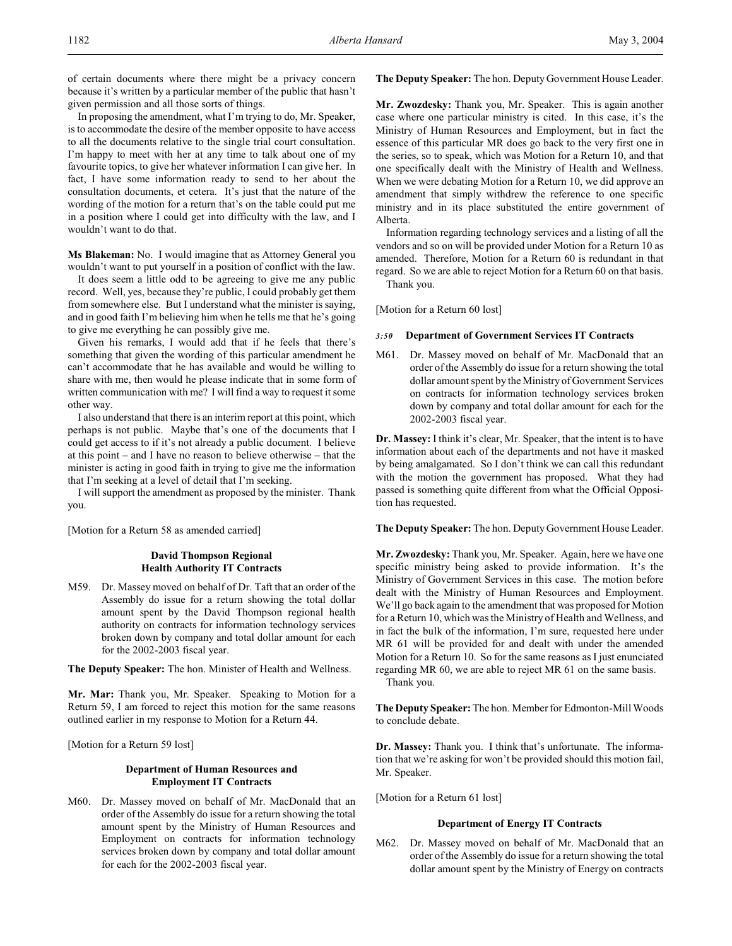of certain documents where there might be a privacy concern because it's written by a particular member of the public that hasn't given permission and all those sorts of things.

In proposing the amendment, what I'm trying to do, Mr. Speaker, is to accommodate the desire of the member opposite to have access to all the documents relative to the single trial court consultation. I'm happy to meet with her at any time to talk about one of my favourite topics, to give her whatever information I can give her. In fact, I have some information ready to send to her about the consultation documents, et cetera. It's just that the nature of the wording of the motion for a return that's on the table could put me in a position where I could get into difficulty with the law, and I wouldn't want to do that.

**Ms Blakeman:** No. I would imagine that as Attorney General you wouldn't want to put yourself in a position of conflict with the law.

It does seem a little odd to be agreeing to give me any public record. Well, yes, because they're public, I could probably get them from somewhere else. But I understand what the minister is saying, and in good faith I'm believing him when he tells me that he's going to give me everything he can possibly give me.

Given his remarks, I would add that if he feels that there's something that given the wording of this particular amendment he can't accommodate that he has available and would be willing to share with me, then would he please indicate that in some form of written communication with me? I will find a way to request it some other way.

I also understand that there is an interim report at this point, which perhaps is not public. Maybe that's one of the documents that I could get access to if it's not already a public document. I believe at this point – and I have no reason to believe otherwise – that the minister is acting in good faith in trying to give me the information that I'm seeking at a level of detail that I'm seeking.

I will support the amendment as proposed by the minister. Thank you.

[Motion for a Return 58 as amended carried]

## **David Thompson Regional Health Authority IT Contracts**

M59. Dr. Massey moved on behalf of Dr. Taft that an order of the Assembly do issue for a return showing the total dollar amount spent by the David Thompson regional health authority on contracts for information technology services broken down by company and total dollar amount for each for the 2002-2003 fiscal year.

**The Deputy Speaker:** The hon. Minister of Health and Wellness.

**Mr. Mar:** Thank you, Mr. Speaker. Speaking to Motion for a Return 59, I am forced to reject this motion for the same reasons outlined earlier in my response to Motion for a Return 44.

[Motion for a Return 59 lost]

## **Department of Human Resources and Employment IT Contracts**

M60. Dr. Massey moved on behalf of Mr. MacDonald that an order of the Assembly do issue for a return showing the total amount spent by the Ministry of Human Resources and Employment on contracts for information technology services broken down by company and total dollar amount for each for the 2002-2003 fiscal year.

**The Deputy Speaker:** The hon. Deputy Government House Leader.

**Mr. Zwozdesky:** Thank you, Mr. Speaker. This is again another case where one particular ministry is cited. In this case, it's the Ministry of Human Resources and Employment, but in fact the essence of this particular MR does go back to the very first one in the series, so to speak, which was Motion for a Return 10, and that one specifically dealt with the Ministry of Health and Wellness. When we were debating Motion for a Return 10, we did approve an amendment that simply withdrew the reference to one specific ministry and in its place substituted the entire government of Alberta.

Information regarding technology services and a listing of all the vendors and so on will be provided under Motion for a Return 10 as amended. Therefore, Motion for a Return 60 is redundant in that regard. So we are able to reject Motion for a Return 60 on that basis. Thank you.

[Motion for a Return 60 lost]

## *3:50* **Department of Government Services IT Contracts**

M61. Dr. Massey moved on behalf of Mr. MacDonald that an order of the Assembly do issue for a return showing the total dollar amount spent by the Ministry of Government Services on contracts for information technology services broken down by company and total dollar amount for each for the 2002-2003 fiscal year.

**Dr. Massey:** I think it's clear, Mr. Speaker, that the intent is to have information about each of the departments and not have it masked by being amalgamated. So I don't think we can call this redundant with the motion the government has proposed. What they had passed is something quite different from what the Official Opposition has requested.

**The Deputy Speaker:** The hon. Deputy Government House Leader.

**Mr. Zwozdesky:** Thank you, Mr. Speaker. Again, here we have one specific ministry being asked to provide information. It's the Ministry of Government Services in this case. The motion before dealt with the Ministry of Human Resources and Employment. We'll go back again to the amendment that was proposed for Motion for a Return 10, which was the Ministry of Health and Wellness, and in fact the bulk of the information, I'm sure, requested here under MR 61 will be provided for and dealt with under the amended Motion for a Return 10. So for the same reasons as I just enunciated regarding MR 60, we are able to reject MR 61 on the same basis. Thank you.

**The Deputy Speaker:** The hon. Member for Edmonton-Mill Woods to conclude debate.

**Dr. Massey:** Thank you. I think that's unfortunate. The information that we're asking for won't be provided should this motion fail, Mr. Speaker.

[Motion for a Return 61 lost]

## **Department of Energy IT Contracts**

M62. Dr. Massey moved on behalf of Mr. MacDonald that an order of the Assembly do issue for a return showing the total dollar amount spent by the Ministry of Energy on contracts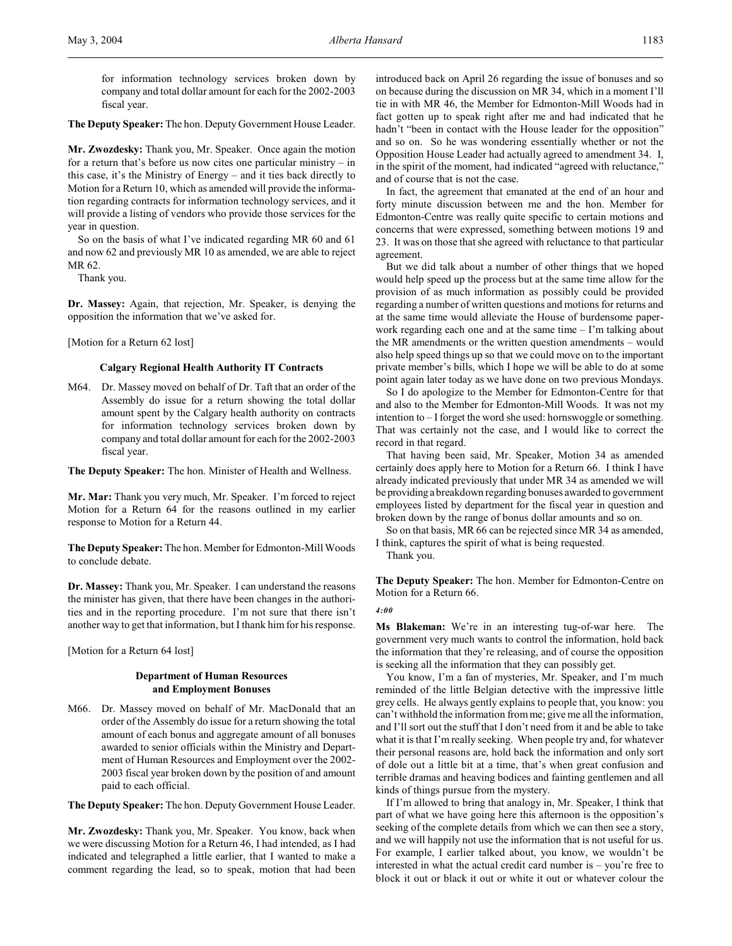for information technology services broken down by company and total dollar amount for each for the 2002-2003 fiscal year.

**The Deputy Speaker:** The hon. Deputy Government House Leader.

**Mr. Zwozdesky:** Thank you, Mr. Speaker. Once again the motion for a return that's before us now cites one particular ministry – in this case, it's the Ministry of Energy – and it ties back directly to Motion for a Return 10, which as amended will provide the information regarding contracts for information technology services, and it will provide a listing of vendors who provide those services for the year in question.

So on the basis of what I've indicated regarding MR 60 and 61 and now 62 and previously MR 10 as amended, we are able to reject MR 62.

Thank you.

**Dr. Massey:** Again, that rejection, Mr. Speaker, is denying the opposition the information that we've asked for.

[Motion for a Return 62 lost]

### **Calgary Regional Health Authority IT Contracts**

- M64. Dr. Massey moved on behalf of Dr. Taft that an order of the Assembly do issue for a return showing the total dollar amount spent by the Calgary health authority on contracts for information technology services broken down by company and total dollar amount for each for the 2002-2003 fiscal year.
- **The Deputy Speaker:** The hon. Minister of Health and Wellness.

**Mr. Mar:** Thank you very much, Mr. Speaker. I'm forced to reject Motion for a Return 64 for the reasons outlined in my earlier response to Motion for a Return 44.

**The Deputy Speaker:** The hon. Member for Edmonton-Mill Woods to conclude debate.

**Dr. Massey:** Thank you, Mr. Speaker. I can understand the reasons the minister has given, that there have been changes in the authorities and in the reporting procedure. I'm not sure that there isn't another way to get that information, but I thank him for his response.

[Motion for a Return 64 lost]

## **Department of Human Resources and Employment Bonuses**

M66. Dr. Massey moved on behalf of Mr. MacDonald that an order of the Assembly do issue for a return showing the total amount of each bonus and aggregate amount of all bonuses awarded to senior officials within the Ministry and Department of Human Resources and Employment over the 2002- 2003 fiscal year broken down by the position of and amount paid to each official.

**The Deputy Speaker:** The hon. Deputy Government House Leader.

**Mr. Zwozdesky:** Thank you, Mr. Speaker. You know, back when we were discussing Motion for a Return 46, I had intended, as I had indicated and telegraphed a little earlier, that I wanted to make a comment regarding the lead, so to speak, motion that had been

introduced back on April 26 regarding the issue of bonuses and so on because during the discussion on MR 34, which in a moment I'll tie in with MR 46, the Member for Edmonton-Mill Woods had in fact gotten up to speak right after me and had indicated that he hadn't "been in contact with the House leader for the opposition" and so on. So he was wondering essentially whether or not the Opposition House Leader had actually agreed to amendment 34. I, in the spirit of the moment, had indicated "agreed with reluctance," and of course that is not the case.

In fact, the agreement that emanated at the end of an hour and forty minute discussion between me and the hon. Member for Edmonton-Centre was really quite specific to certain motions and concerns that were expressed, something between motions 19 and 23. It was on those that she agreed with reluctance to that particular agreement.

But we did talk about a number of other things that we hoped would help speed up the process but at the same time allow for the provision of as much information as possibly could be provided regarding a number of written questions and motions for returns and at the same time would alleviate the House of burdensome paperwork regarding each one and at the same time – I'm talking about the MR amendments or the written question amendments – would also help speed things up so that we could move on to the important private member's bills, which I hope we will be able to do at some point again later today as we have done on two previous Mondays.

So I do apologize to the Member for Edmonton-Centre for that and also to the Member for Edmonton-Mill Woods. It was not my intention to – I forget the word she used: hornswoggle or something. That was certainly not the case, and I would like to correct the record in that regard.

That having been said, Mr. Speaker, Motion 34 as amended certainly does apply here to Motion for a Return 66. I think I have already indicated previously that under MR 34 as amended we will be providing a breakdown regarding bonuses awarded to government employees listed by department for the fiscal year in question and broken down by the range of bonus dollar amounts and so on.

So on that basis, MR 66 can be rejected since MR 34 as amended, I think, captures the spirit of what is being requested.

Thank you.

**The Deputy Speaker:** The hon. Member for Edmonton-Centre on Motion for a Return 66.

*4:00*

**Ms Blakeman:** We're in an interesting tug-of-war here. The government very much wants to control the information, hold back the information that they're releasing, and of course the opposition is seeking all the information that they can possibly get.

You know, I'm a fan of mysteries, Mr. Speaker, and I'm much reminded of the little Belgian detective with the impressive little grey cells. He always gently explains to people that, you know: you can't withhold the information from me; give me all the information, and I'll sort out the stuff that I don't need from it and be able to take what it is that I'm really seeking. When people try and, for whatever their personal reasons are, hold back the information and only sort of dole out a little bit at a time, that's when great confusion and terrible dramas and heaving bodices and fainting gentlemen and all kinds of things pursue from the mystery.

If I'm allowed to bring that analogy in, Mr. Speaker, I think that part of what we have going here this afternoon is the opposition's seeking of the complete details from which we can then see a story, and we will happily not use the information that is not useful for us. For example, I earlier talked about, you know, we wouldn't be interested in what the actual credit card number is – you're free to block it out or black it out or white it out or whatever colour the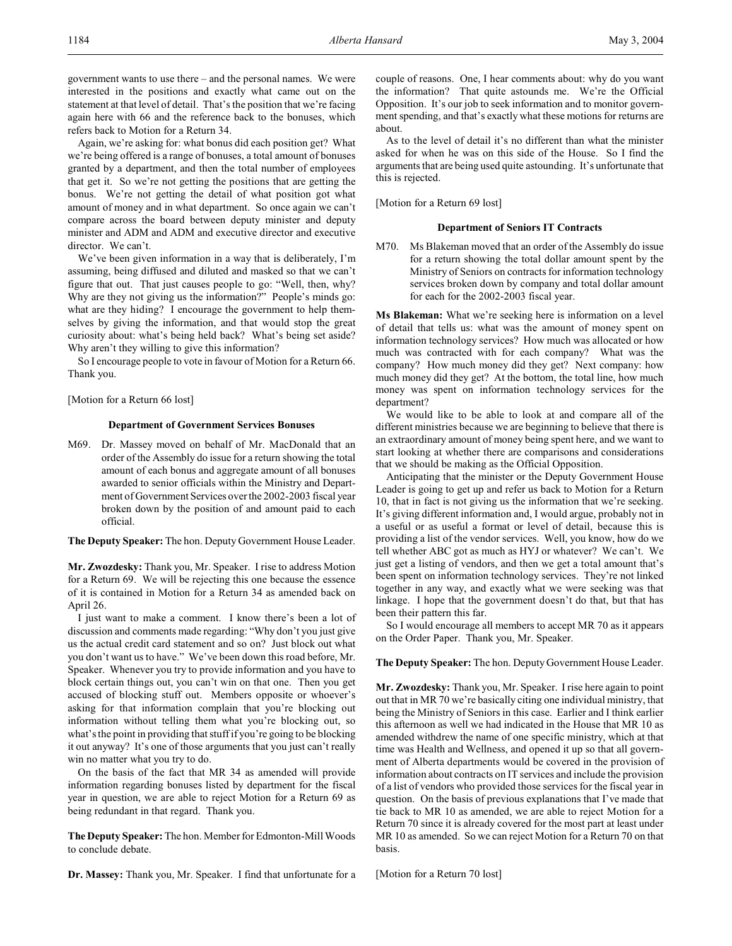government wants to use there – and the personal names. We were interested in the positions and exactly what came out on the statement at that level of detail. That's the position that we're facing again here with 66 and the reference back to the bonuses, which refers back to Motion for a Return 34.

Again, we're asking for: what bonus did each position get? What we're being offered is a range of bonuses, a total amount of bonuses granted by a department, and then the total number of employees that get it. So we're not getting the positions that are getting the bonus. We're not getting the detail of what position got what amount of money and in what department. So once again we can't compare across the board between deputy minister and deputy minister and ADM and ADM and executive director and executive director. We can't.

We've been given information in a way that is deliberately, I'm assuming, being diffused and diluted and masked so that we can't figure that out. That just causes people to go: "Well, then, why? Why are they not giving us the information?" People's minds go: what are they hiding? I encourage the government to help themselves by giving the information, and that would stop the great curiosity about: what's being held back? What's being set aside? Why aren't they willing to give this information?

So I encourage people to vote in favour of Motion for a Return 66. Thank you.

[Motion for a Return 66 lost]

#### **Department of Government Services Bonuses**

M69. Dr. Massey moved on behalf of Mr. MacDonald that an order of the Assembly do issue for a return showing the total amount of each bonus and aggregate amount of all bonuses awarded to senior officials within the Ministry and Department of Government Services over the 2002-2003 fiscal year broken down by the position of and amount paid to each official.

**The Deputy Speaker:** The hon. Deputy Government House Leader.

**Mr. Zwozdesky:** Thank you, Mr. Speaker. I rise to address Motion for a Return 69. We will be rejecting this one because the essence of it is contained in Motion for a Return 34 as amended back on April 26.

I just want to make a comment. I know there's been a lot of discussion and comments made regarding: "Why don't you just give us the actual credit card statement and so on? Just block out what you don't want us to have." We've been down this road before, Mr. Speaker. Whenever you try to provide information and you have to block certain things out, you can't win on that one. Then you get accused of blocking stuff out. Members opposite or whoever's asking for that information complain that you're blocking out information without telling them what you're blocking out, so what's the point in providing that stuff if you're going to be blocking it out anyway? It's one of those arguments that you just can't really win no matter what you try to do.

On the basis of the fact that MR 34 as amended will provide information regarding bonuses listed by department for the fiscal year in question, we are able to reject Motion for a Return 69 as being redundant in that regard. Thank you.

**The Deputy Speaker:** The hon. Member for Edmonton-Mill Woods to conclude debate.

**Dr. Massey:** Thank you, Mr. Speaker. I find that unfortunate for a

couple of reasons. One, I hear comments about: why do you want the information? That quite astounds me. We're the Official Opposition. It's our job to seek information and to monitor government spending, and that's exactly what these motions for returns are about.

As to the level of detail it's no different than what the minister asked for when he was on this side of the House. So I find the arguments that are being used quite astounding. It's unfortunate that this is rejected.

[Motion for a Return 69 lost]

#### **Department of Seniors IT Contracts**

M70. Ms Blakeman moved that an order of the Assembly do issue for a return showing the total dollar amount spent by the Ministry of Seniors on contracts for information technology services broken down by company and total dollar amount for each for the 2002-2003 fiscal year.

**Ms Blakeman:** What we're seeking here is information on a level of detail that tells us: what was the amount of money spent on information technology services? How much was allocated or how much was contracted with for each company? What was the company? How much money did they get? Next company: how much money did they get? At the bottom, the total line, how much money was spent on information technology services for the department?

We would like to be able to look at and compare all of the different ministries because we are beginning to believe that there is an extraordinary amount of money being spent here, and we want to start looking at whether there are comparisons and considerations that we should be making as the Official Opposition.

Anticipating that the minister or the Deputy Government House Leader is going to get up and refer us back to Motion for a Return 10, that in fact is not giving us the information that we're seeking. It's giving different information and, I would argue, probably not in a useful or as useful a format or level of detail, because this is providing a list of the vendor services. Well, you know, how do we tell whether ABC got as much as HYJ or whatever? We can't. We just get a listing of vendors, and then we get a total amount that's been spent on information technology services. They're not linked together in any way, and exactly what we were seeking was that linkage. I hope that the government doesn't do that, but that has been their pattern this far.

So I would encourage all members to accept MR 70 as it appears on the Order Paper. Thank you, Mr. Speaker.

### **The Deputy Speaker:** The hon. Deputy Government House Leader.

**Mr. Zwozdesky:** Thank you, Mr. Speaker. I rise here again to point out that in MR 70 we're basically citing one individual ministry, that being the Ministry of Seniors in this case. Earlier and I think earlier this afternoon as well we had indicated in the House that MR 10 as amended withdrew the name of one specific ministry, which at that time was Health and Wellness, and opened it up so that all government of Alberta departments would be covered in the provision of information about contracts on IT services and include the provision of a list of vendors who provided those services for the fiscal year in question. On the basis of previous explanations that I've made that tie back to MR 10 as amended, we are able to reject Motion for a Return 70 since it is already covered for the most part at least under MR 10 as amended. So we can reject Motion for a Return 70 on that basis.

[Motion for a Return 70 lost]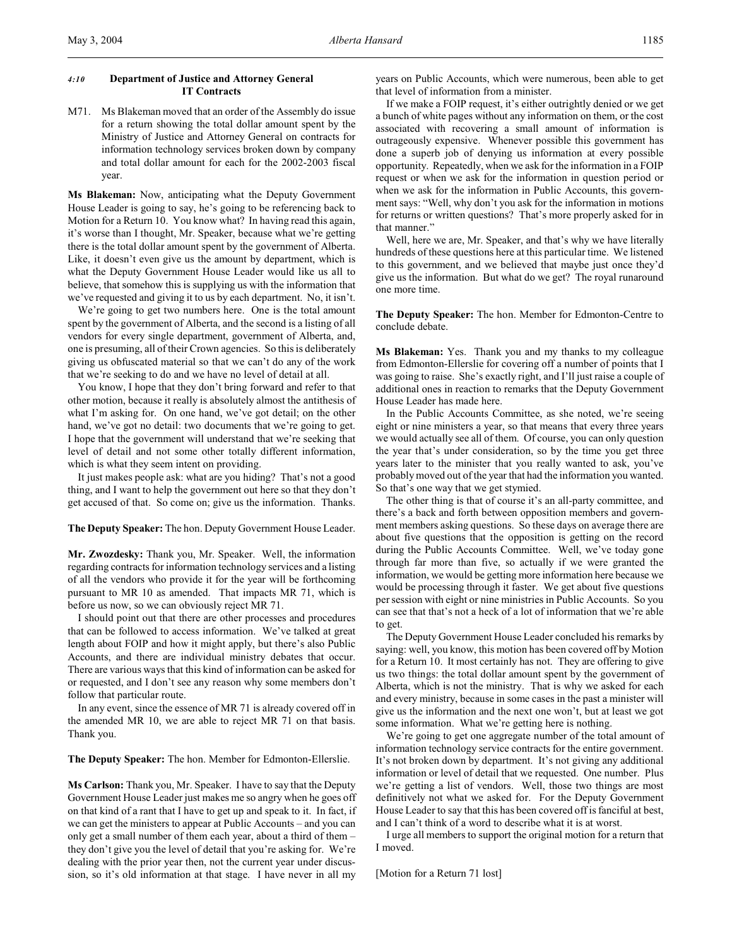## *4:10* **Department of Justice and Attorney General IT Contracts**

M71. Ms Blakeman moved that an order of the Assembly do issue for a return showing the total dollar amount spent by the Ministry of Justice and Attorney General on contracts for information technology services broken down by company and total dollar amount for each for the 2002-2003 fiscal year.

**Ms Blakeman:** Now, anticipating what the Deputy Government House Leader is going to say, he's going to be referencing back to Motion for a Return 10. You know what? In having read this again, it's worse than I thought, Mr. Speaker, because what we're getting there is the total dollar amount spent by the government of Alberta. Like, it doesn't even give us the amount by department, which is what the Deputy Government House Leader would like us all to believe, that somehow this is supplying us with the information that we've requested and giving it to us by each department. No, it isn't.

We're going to get two numbers here. One is the total amount spent by the government of Alberta, and the second is a listing of all vendors for every single department, government of Alberta, and, one is presuming, all oftheir Crown agencies. So this is deliberately giving us obfuscated material so that we can't do any of the work that we're seeking to do and we have no level of detail at all.

You know, I hope that they don't bring forward and refer to that other motion, because it really is absolutely almost the antithesis of what I'm asking for. On one hand, we've got detail; on the other hand, we've got no detail: two documents that we're going to get. I hope that the government will understand that we're seeking that level of detail and not some other totally different information, which is what they seem intent on providing.

It just makes people ask: what are you hiding? That's not a good thing, and I want to help the government out here so that they don't get accused of that. So come on; give us the information. Thanks.

**The Deputy Speaker:** The hon. Deputy Government House Leader.

**Mr. Zwozdesky:** Thank you, Mr. Speaker. Well, the information regarding contracts for information technology services and a listing of all the vendors who provide it for the year will be forthcoming pursuant to MR 10 as amended. That impacts MR 71, which is before us now, so we can obviously reject MR 71.

I should point out that there are other processes and procedures that can be followed to access information. We've talked at great length about FOIP and how it might apply, but there's also Public Accounts, and there are individual ministry debates that occur. There are various ways that this kind of information can be asked for or requested, and I don't see any reason why some members don't follow that particular route.

In any event, since the essence of MR 71 is already covered off in the amended MR 10, we are able to reject MR 71 on that basis. Thank you.

**The Deputy Speaker:** The hon. Member for Edmonton-Ellerslie.

**Ms Carlson:** Thank you, Mr. Speaker. I have to say that the Deputy Government House Leader just makes me so angry when he goes off on that kind of a rant that I have to get up and speak to it. In fact, if we can get the ministers to appear at Public Accounts – and you can only get a small number of them each year, about a third of them – they don't give you the level of detail that you're asking for. We're dealing with the prior year then, not the current year under discussion, so it's old information at that stage. I have never in all my years on Public Accounts, which were numerous, been able to get that level of information from a minister.

If we make a FOIP request, it's either outrightly denied or we get a bunch of white pages without any information on them, or the cost associated with recovering a small amount of information is outrageously expensive. Whenever possible this government has done a superb job of denying us information at every possible opportunity. Repeatedly, when we ask for the information in a FOIP request or when we ask for the information in question period or when we ask for the information in Public Accounts, this government says: "Well, why don't you ask for the information in motions for returns or written questions? That's more properly asked for in that manner."

Well, here we are, Mr. Speaker, and that's why we have literally hundreds of these questions here at this particular time. We listened to this government, and we believed that maybe just once they'd give us the information. But what do we get? The royal runaround one more time.

**The Deputy Speaker:** The hon. Member for Edmonton-Centre to conclude debate.

**Ms Blakeman:** Yes. Thank you and my thanks to my colleague from Edmonton-Ellerslie for covering off a number of points that I was going to raise. She's exactly right, and I'll just raise a couple of additional ones in reaction to remarks that the Deputy Government House Leader has made here.

In the Public Accounts Committee, as she noted, we're seeing eight or nine ministers a year, so that means that every three years we would actually see all of them. Of course, you can only question the year that's under consideration, so by the time you get three years later to the minister that you really wanted to ask, you've probably moved out of the year that had the information you wanted. So that's one way that we get stymied.

The other thing is that of course it's an all-party committee, and there's a back and forth between opposition members and government members asking questions. So these days on average there are about five questions that the opposition is getting on the record during the Public Accounts Committee. Well, we've today gone through far more than five, so actually if we were granted the information, we would be getting more information here because we would be processing through it faster. We get about five questions persession with eight or nine ministries in Public Accounts. So you can see that that's not a heck of a lot of information that we're able to get.

The Deputy Government House Leader concluded his remarks by saying: well, you know, this motion has been covered off by Motion for a Return 10. It most certainly has not. They are offering to give us two things: the total dollar amount spent by the government of Alberta, which is not the ministry. That is why we asked for each and every ministry, because in some cases in the past a minister will give us the information and the next one won't, but at least we got some information. What we're getting here is nothing.

We're going to get one aggregate number of the total amount of information technology service contracts for the entire government. It's not broken down by department. It's not giving any additional information or level of detail that we requested. One number. Plus we're getting a list of vendors. Well, those two things are most definitively not what we asked for. For the Deputy Government House Leader to say that this has been covered off is fanciful at best, and I can't think of a word to describe what it is at worst.

I urge all members to support the original motion for a return that I moved.

[Motion for a Return 71 lost]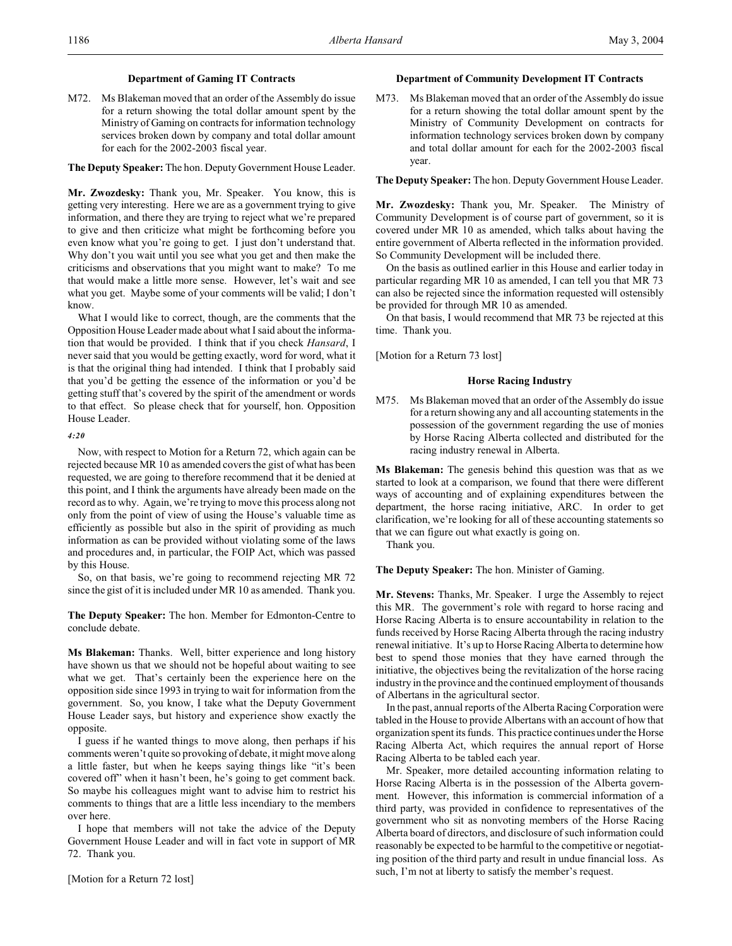## **Department of Gaming IT Contracts**

M72. Ms Blakeman moved that an order of the Assembly do issue for a return showing the total dollar amount spent by the Ministry of Gaming on contracts for information technology services broken down by company and total dollar amount for each for the 2002-2003 fiscal year.

#### **The Deputy Speaker:** The hon. Deputy Government House Leader.

**Mr. Zwozdesky:** Thank you, Mr. Speaker. You know, this is getting very interesting. Here we are as a government trying to give information, and there they are trying to reject what we're prepared to give and then criticize what might be forthcoming before you even know what you're going to get. I just don't understand that. Why don't you wait until you see what you get and then make the criticisms and observations that you might want to make? To me that would make a little more sense. However, let's wait and see what you get. Maybe some of your comments will be valid; I don't know.

What I would like to correct, though, are the comments that the Opposition House Leader made about what I said about the information that would be provided. I think that if you check *Hansard*, I never said that you would be getting exactly, word for word, what it is that the original thing had intended. I think that I probably said that you'd be getting the essence of the information or you'd be getting stuff that's covered by the spirit of the amendment or words to that effect. So please check that for yourself, hon. Opposition House Leader.

#### *4:20*

Now, with respect to Motion for a Return 72, which again can be rejected because MR 10 as amended covers the gist of what has been requested, we are going to therefore recommend that it be denied at this point, and I think the arguments have already been made on the record as to why. Again, we're trying to move this process along not only from the point of view of using the House's valuable time as efficiently as possible but also in the spirit of providing as much information as can be provided without violating some of the laws and procedures and, in particular, the FOIP Act, which was passed by this House.

So, on that basis, we're going to recommend rejecting MR 72 since the gist of it is included under MR 10 as amended. Thank you.

**The Deputy Speaker:** The hon. Member for Edmonton-Centre to conclude debate.

**Ms Blakeman:** Thanks. Well, bitter experience and long history have shown us that we should not be hopeful about waiting to see what we get. That's certainly been the experience here on the opposition side since 1993 in trying to wait for information from the government. So, you know, I take what the Deputy Government House Leader says, but history and experience show exactly the opposite.

I guess if he wanted things to move along, then perhaps if his comments weren't quite so provoking of debate, it might move along a little faster, but when he keeps saying things like "it's been covered off" when it hasn't been, he's going to get comment back. So maybe his colleagues might want to advise him to restrict his comments to things that are a little less incendiary to the members over here.

I hope that members will not take the advice of the Deputy Government House Leader and will in fact vote in support of MR 72. Thank you.

[Motion for a Return 72 lost]

#### **Department of Community Development IT Contracts**

M73. Ms Blakeman moved that an order of the Assembly do issue for a return showing the total dollar amount spent by the Ministry of Community Development on contracts for information technology services broken down by company and total dollar amount for each for the 2002-2003 fiscal year.

**The Deputy Speaker:** The hon. Deputy Government House Leader.

**Mr. Zwozdesky:** Thank you, Mr. Speaker. The Ministry of Community Development is of course part of government, so it is covered under MR 10 as amended, which talks about having the entire government of Alberta reflected in the information provided. So Community Development will be included there.

On the basis as outlined earlier in this House and earlier today in particular regarding MR 10 as amended, I can tell you that MR 73 can also be rejected since the information requested will ostensibly be provided for through MR 10 as amended.

On that basis, I would recommend that MR 73 be rejected at this time. Thank you.

[Motion for a Return 73 lost]

## **Horse Racing Industry**

M75. Ms Blakeman moved that an order of the Assembly do issue for a return showing any and all accounting statements in the possession of the government regarding the use of monies by Horse Racing Alberta collected and distributed for the racing industry renewal in Alberta.

**Ms Blakeman:** The genesis behind this question was that as we started to look at a comparison, we found that there were different ways of accounting and of explaining expenditures between the department, the horse racing initiative, ARC. In order to get clarification, we're looking for all of these accounting statements so that we can figure out what exactly is going on.

Thank you.

**The Deputy Speaker:** The hon. Minister of Gaming.

**Mr. Stevens:** Thanks, Mr. Speaker. I urge the Assembly to reject this MR. The government's role with regard to horse racing and Horse Racing Alberta is to ensure accountability in relation to the funds received by Horse Racing Alberta through the racing industry renewal initiative. It's up to Horse Racing Alberta to determine how best to spend those monies that they have earned through the initiative, the objectives being the revitalization of the horse racing industry in the province and the continued employment of thousands of Albertans in the agricultural sector.

In the past, annual reports of the Alberta Racing Corporation were tabled in the House to provide Albertans with an account of how that organization spent its funds. This practice continues under the Horse Racing Alberta Act, which requires the annual report of Horse Racing Alberta to be tabled each year.

Mr. Speaker, more detailed accounting information relating to Horse Racing Alberta is in the possession of the Alberta government. However, this information is commercial information of a third party, was provided in confidence to representatives of the government who sit as nonvoting members of the Horse Racing Alberta board of directors, and disclosure of such information could reasonably be expected to be harmful to the competitive or negotiating position of the third party and result in undue financial loss. As such, I'm not at liberty to satisfy the member's request.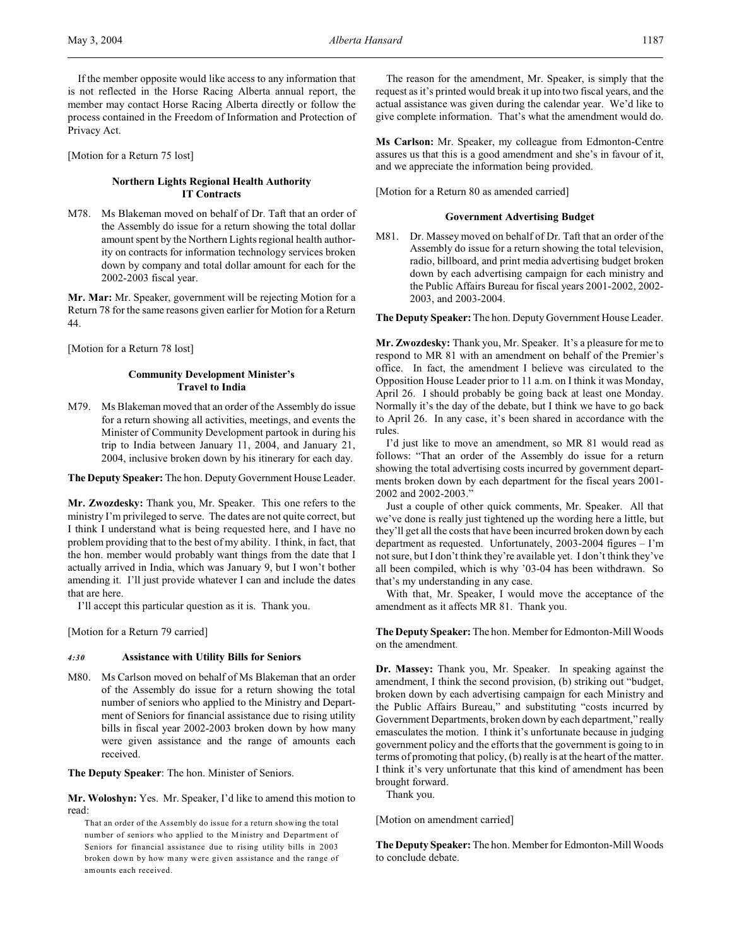If the member opposite would like access to any information that is not reflected in the Horse Racing Alberta annual report, the member may contact Horse Racing Alberta directly or follow the process contained in the Freedom of Information and Protection of Privacy Act.

[Motion for a Return 75 lost]

## **Northern Lights Regional Health Authority IT Contracts**

M78. Ms Blakeman moved on behalf of Dr. Taft that an order of the Assembly do issue for a return showing the total dollar amount spent by the Northern Lights regional health authority on contracts for information technology services broken down by company and total dollar amount for each for the 2002-2003 fiscal year.

**Mr. Mar:** Mr. Speaker, government will be rejecting Motion for a Return 78 for the same reasons given earlier for Motion for a Return 44.

[Motion for a Return 78 lost]

## **Community Development Minister's Travel to India**

M79. Ms Blakeman moved that an order of the Assembly do issue for a return showing all activities, meetings, and events the Minister of Community Development partook in during his trip to India between January 11, 2004, and January 21, 2004, inclusive broken down by his itinerary for each day.

**The Deputy Speaker:** The hon. Deputy Government House Leader.

**Mr. Zwozdesky:** Thank you, Mr. Speaker. This one refers to the ministry I'm privileged to serve. The dates are not quite correct, but I think I understand what is being requested here, and I have no problem providing that to the best of my ability. I think, in fact, that the hon. member would probably want things from the date that I actually arrived in India, which was January 9, but I won't bother amending it. I'll just provide whatever I can and include the dates that are here.

I'll accept this particular question as it is. Thank you.

[Motion for a Return 79 carried]

#### *4:30* **Assistance with Utility Bills for Seniors**

M80. Ms Carlson moved on behalf of Ms Blakeman that an order of the Assembly do issue for a return showing the total number of seniors who applied to the Ministry and Department of Seniors for financial assistance due to rising utility bills in fiscal year 2002-2003 broken down by how many were given assistance and the range of amounts each received.

**The Deputy Speaker**: The hon. Minister of Seniors.

**Mr. Woloshyn:** Yes. Mr. Speaker, I'd like to amend this motion to read:

That an order of the Assembly do issue for a return showing the total number of seniors who applied to the Ministry and Department of Seniors for financial assistance due to rising utility bills in 2003 broken down by how many were given assistance and the range of amounts each received.

The reason for the amendment, Mr. Speaker, is simply that the request as it's printed would break it up into two fiscal years, and the actual assistance was given during the calendar year. We'd like to give complete information. That's what the amendment would do.

**Ms Carlson:** Mr. Speaker, my colleague from Edmonton-Centre assures us that this is a good amendment and she's in favour of it, and we appreciate the information being provided.

[Motion for a Return 80 as amended carried]

## **Government Advertising Budget**

M81. Dr. Massey moved on behalf of Dr. Taft that an order of the Assembly do issue for a return showing the total television, radio, billboard, and print media advertising budget broken down by each advertising campaign for each ministry and the Public Affairs Bureau for fiscal years 2001-2002, 2002- 2003, and 2003-2004.

**The Deputy Speaker:** The hon. Deputy Government House Leader.

**Mr. Zwozdesky:** Thank you, Mr. Speaker. It's a pleasure for me to respond to MR 81 with an amendment on behalf of the Premier's office. In fact, the amendment I believe was circulated to the Opposition House Leader prior to 11 a.m. on I think it was Monday, April 26. I should probably be going back at least one Monday. Normally it's the day of the debate, but I think we have to go back to April 26. In any case, it's been shared in accordance with the rules.

I'd just like to move an amendment, so MR 81 would read as follows: "That an order of the Assembly do issue for a return showing the total advertising costs incurred by government departments broken down by each department for the fiscal years 2001- 2002 and 2002-2003."

Just a couple of other quick comments, Mr. Speaker. All that we've done is really just tightened up the wording here a little, but they'll get all the costs that have been incurred broken down by each department as requested. Unfortunately, 2003-2004 figures – I'm not sure, but I don't think they're available yet. I don't think they've all been compiled, which is why '03-04 has been withdrawn. So that's my understanding in any case.

With that, Mr. Speaker, I would move the acceptance of the amendment as it affects MR 81. Thank you.

**The Deputy Speaker:** The hon. Member for Edmonton-Mill Woods on the amendment.

**Dr. Massey:** Thank you, Mr. Speaker. In speaking against the amendment, I think the second provision, (b) striking out "budget, broken down by each advertising campaign for each Ministry and the Public Affairs Bureau," and substituting "costs incurred by Government Departments, broken down by each department," really emasculates the motion. I think it's unfortunate because in judging government policy and the efforts that the government is going to in terms of promoting that policy, (b) really is at the heart of the matter. I think it's very unfortunate that this kind of amendment has been brought forward.

Thank you.

[Motion on amendment carried]

**The Deputy Speaker:** The hon. Member for Edmonton-Mill Woods to conclude debate.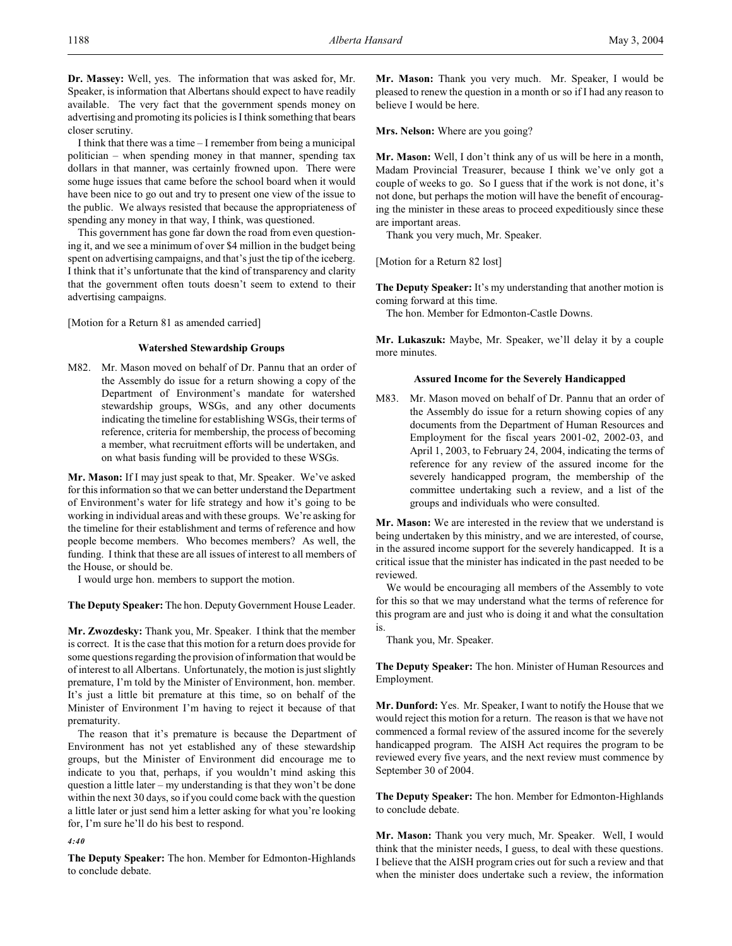**Dr. Massey:** Well, yes. The information that was asked for, Mr. Speaker, is information that Albertans should expect to have readily available. The very fact that the government spends money on advertising and promoting its policies is I think something that bears closer scrutiny.

I think that there was a time – I remember from being a municipal politician – when spending money in that manner, spending tax dollars in that manner, was certainly frowned upon. There were some huge issues that came before the school board when it would have been nice to go out and try to present one view of the issue to the public. We always resisted that because the appropriateness of spending any money in that way, I think, was questioned.

This government has gone far down the road from even questioning it, and we see a minimum of over \$4 million in the budget being spent on advertising campaigns, and that's just the tip of the iceberg. I think that it's unfortunate that the kind of transparency and clarity that the government often touts doesn't seem to extend to their advertising campaigns.

[Motion for a Return 81 as amended carried]

## **Watershed Stewardship Groups**

M82. Mr. Mason moved on behalf of Dr. Pannu that an order of the Assembly do issue for a return showing a copy of the Department of Environment's mandate for watershed stewardship groups, WSGs, and any other documents indicating the timeline for establishing WSGs, their terms of reference, criteria for membership, the process of becoming a member, what recruitment efforts will be undertaken, and on what basis funding will be provided to these WSGs.

**Mr. Mason:** If I may just speak to that, Mr. Speaker. We've asked for this information so that we can better understand the Department of Environment's water for life strategy and how it's going to be working in individual areas and with these groups. We're asking for the timeline for their establishment and terms of reference and how people become members. Who becomes members? As well, the funding. I think that these are all issues of interest to all members of the House, or should be.

I would urge hon. members to support the motion.

**The Deputy Speaker:** The hon. Deputy Government House Leader.

**Mr. Zwozdesky:** Thank you, Mr. Speaker. I think that the member is correct. It is the case that this motion for a return does provide for some questions regarding the provision of information that would be of interest to all Albertans. Unfortunately, the motion isjust slightly premature, I'm told by the Minister of Environment, hon. member. It's just a little bit premature at this time, so on behalf of the Minister of Environment I'm having to reject it because of that prematurity.

The reason that it's premature is because the Department of Environment has not yet established any of these stewardship groups, but the Minister of Environment did encourage me to indicate to you that, perhaps, if you wouldn't mind asking this question a little later – my understanding is that they won't be done within the next 30 days, so if you could come back with the question a little later or just send him a letter asking for what you're looking for, I'm sure he'll do his best to respond.

*4:40*

**The Deputy Speaker:** The hon. Member for Edmonton-Highlands to conclude debate.

**Mr. Mason:** Thank you very much. Mr. Speaker, I would be pleased to renew the question in a month or so if I had any reason to believe I would be here.

**Mrs. Nelson:** Where are you going?

**Mr. Mason:** Well, I don't think any of us will be here in a month, Madam Provincial Treasurer, because I think we've only got a couple of weeks to go. So I guess that if the work is not done, it's not done, but perhaps the motion will have the benefit of encouraging the minister in these areas to proceed expeditiously since these are important areas.

Thank you very much, Mr. Speaker.

[Motion for a Return 82 lost]

**The Deputy Speaker:** It's my understanding that another motion is coming forward at this time.

The hon. Member for Edmonton-Castle Downs.

**Mr. Lukaszuk:** Maybe, Mr. Speaker, we'll delay it by a couple more minutes.

#### **Assured Income for the Severely Handicapped**

M83. Mr. Mason moved on behalf of Dr. Pannu that an order of the Assembly do issue for a return showing copies of any documents from the Department of Human Resources and Employment for the fiscal years 2001-02, 2002-03, and April 1, 2003, to February 24, 2004, indicating the terms of reference for any review of the assured income for the severely handicapped program, the membership of the committee undertaking such a review, and a list of the groups and individuals who were consulted.

**Mr. Mason:** We are interested in the review that we understand is being undertaken by this ministry, and we are interested, of course, in the assured income support for the severely handicapped. It is a critical issue that the minister has indicated in the past needed to be reviewed.

We would be encouraging all members of the Assembly to vote for this so that we may understand what the terms of reference for this program are and just who is doing it and what the consultation is.

Thank you, Mr. Speaker.

**The Deputy Speaker:** The hon. Minister of Human Resources and Employment.

**Mr. Dunford:** Yes. Mr. Speaker, I want to notify the House that we would reject this motion for a return. The reason is that we have not commenced a formal review of the assured income for the severely handicapped program. The AISH Act requires the program to be reviewed every five years, and the next review must commence by September 30 of 2004.

**The Deputy Speaker:** The hon. Member for Edmonton-Highlands to conclude debate.

**Mr. Mason:** Thank you very much, Mr. Speaker. Well, I would think that the minister needs, I guess, to deal with these questions. I believe that the AISH program cries out for such a review and that when the minister does undertake such a review, the information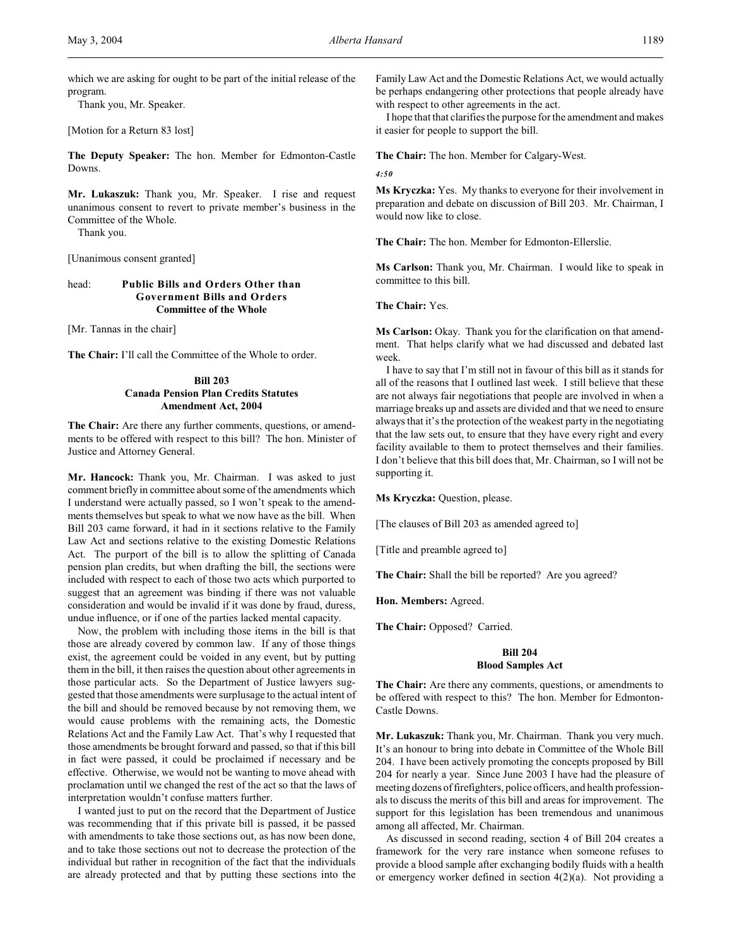which we are asking for ought to be part of the initial release of the program.

Thank you, Mr. Speaker.

[Motion for a Return 83 lost]

**The Deputy Speaker:** The hon. Member for Edmonton-Castle Downs.

**Mr. Lukaszuk:** Thank you, Mr. Speaker. I rise and request unanimous consent to revert to private member's business in the Committee of the Whole.

Thank you.

[Unanimous consent granted]

# head: **Public Bills and Orders Other than Government Bills and Orders Committee of the Whole**

[Mr. Tannas in the chair]

**The Chair:** I'll call the Committee of the Whole to order.

## **Bill 203 Canada Pension Plan Credits Statutes Amendment Act, 2004**

**The Chair:** Are there any further comments, questions, or amendments to be offered with respect to this bill? The hon. Minister of Justice and Attorney General.

**Mr. Hancock:** Thank you, Mr. Chairman. I was asked to just comment briefly in committee about some of the amendments which I understand were actually passed, so I won't speak to the amendments themselves but speak to what we now have as the bill. When Bill 203 came forward, it had in it sections relative to the Family Law Act and sections relative to the existing Domestic Relations Act. The purport of the bill is to allow the splitting of Canada pension plan credits, but when drafting the bill, the sections were included with respect to each of those two acts which purported to suggest that an agreement was binding if there was not valuable consideration and would be invalid if it was done by fraud, duress, undue influence, or if one of the parties lacked mental capacity.

Now, the problem with including those items in the bill is that those are already covered by common law. If any of those things exist, the agreement could be voided in any event, but by putting them in the bill, it then raises the question about other agreements in those particular acts. So the Department of Justice lawyers suggested that those amendments were surplusage to the actual intent of the bill and should be removed because by not removing them, we would cause problems with the remaining acts, the Domestic Relations Act and the Family Law Act. That's why I requested that those amendments be brought forward and passed, so that if this bill in fact were passed, it could be proclaimed if necessary and be effective. Otherwise, we would not be wanting to move ahead with proclamation until we changed the rest of the act so that the laws of interpretation wouldn't confuse matters further.

I wanted just to put on the record that the Department of Justice was recommending that if this private bill is passed, it be passed with amendments to take those sections out, as has now been done, and to take those sections out not to decrease the protection of the individual but rather in recognition of the fact that the individuals are already protected and that by putting these sections into the

Family Law Act and the Domestic Relations Act, we would actually be perhaps endangering other protections that people already have with respect to other agreements in the act.

I hope that that clarifies the purpose for the amendment and makes it easier for people to support the bill.

**The Chair:** The hon. Member for Calgary-West.

*4:50*

**Ms Kryczka:** Yes. My thanks to everyone for their involvement in preparation and debate on discussion of Bill 203. Mr. Chairman, I would now like to close.

**The Chair:** The hon. Member for Edmonton-Ellerslie.

**Ms Carlson:** Thank you, Mr. Chairman. I would like to speak in committee to this bill.

**The Chair:** Yes.

**Ms Carlson:** Okay. Thank you for the clarification on that amendment. That helps clarify what we had discussed and debated last week.

I have to say that I'm still not in favour of this bill as it stands for all of the reasons that I outlined last week. I still believe that these are not always fair negotiations that people are involved in when a marriage breaks up and assets are divided and that we need to ensure always that it's the protection of the weakest party in the negotiating that the law sets out, to ensure that they have every right and every facility available to them to protect themselves and their families. I don't believe that this bill does that, Mr. Chairman, so I will not be supporting it.

**Ms Kryczka:** Question, please.

[The clauses of Bill 203 as amended agreed to]

[Title and preamble agreed to]

**The Chair:** Shall the bill be reported? Are you agreed?

**Hon. Members:** Agreed.

**The Chair:** Opposed? Carried.

## **Bill 204 Blood Samples Act**

**The Chair:** Are there any comments, questions, or amendments to be offered with respect to this? The hon. Member for Edmonton-Castle Downs.

**Mr. Lukaszuk:** Thank you, Mr. Chairman. Thank you very much. It's an honour to bring into debate in Committee of the Whole Bill 204. I have been actively promoting the concepts proposed by Bill 204 for nearly a year. Since June 2003 I have had the pleasure of meeting dozens of firefighters, police officers, and health professionals to discuss the merits of this bill and areas for improvement. The support for this legislation has been tremendous and unanimous among all affected, Mr. Chairman.

As discussed in second reading, section 4 of Bill 204 creates a framework for the very rare instance when someone refuses to provide a blood sample after exchanging bodily fluids with a health or emergency worker defined in section 4(2)(a). Not providing a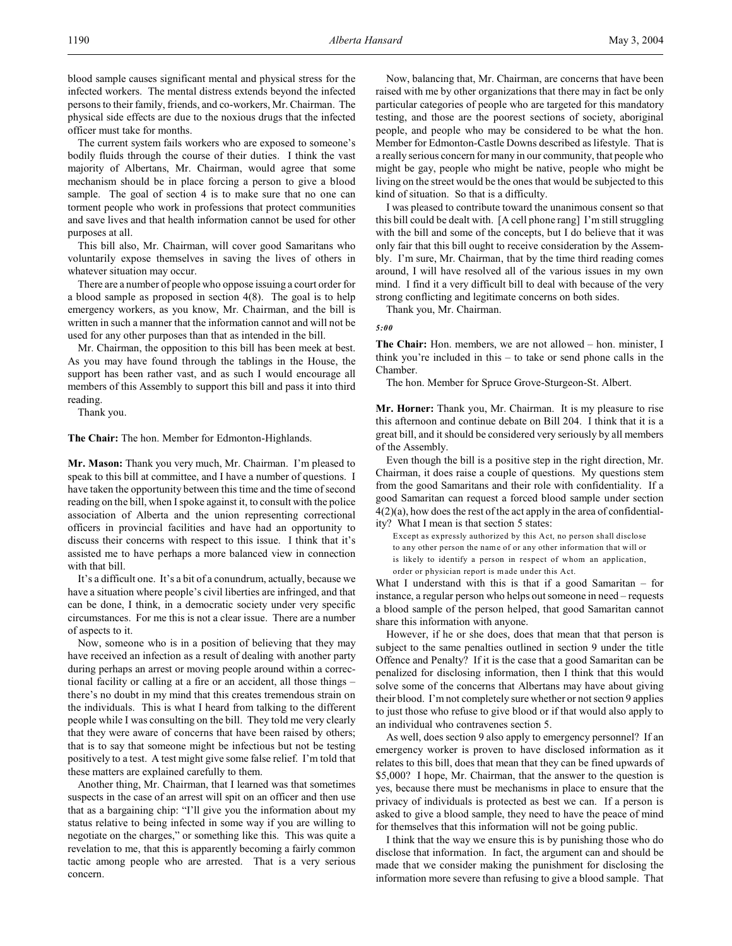blood sample causes significant mental and physical stress for the infected workers. The mental distress extends beyond the infected persons to their family, friends, and co-workers, Mr. Chairman. The physical side effects are due to the noxious drugs that the infected officer must take for months.

The current system fails workers who are exposed to someone's bodily fluids through the course of their duties. I think the vast majority of Albertans, Mr. Chairman, would agree that some mechanism should be in place forcing a person to give a blood sample. The goal of section 4 is to make sure that no one can torment people who work in professions that protect communities and save lives and that health information cannot be used for other purposes at all.

This bill also, Mr. Chairman, will cover good Samaritans who voluntarily expose themselves in saving the lives of others in whatever situation may occur.

There are a number of people who oppose issuing a court order for a blood sample as proposed in section 4(8). The goal is to help emergency workers, as you know, Mr. Chairman, and the bill is written in such a manner that the information cannot and will not be used for any other purposes than that as intended in the bill.

Mr. Chairman, the opposition to this bill has been meek at best. As you may have found through the tablings in the House, the support has been rather vast, and as such I would encourage all members of this Assembly to support this bill and pass it into third reading.

Thank you.

**The Chair:** The hon. Member for Edmonton-Highlands.

**Mr. Mason:** Thank you very much, Mr. Chairman. I'm pleased to speak to this bill at committee, and I have a number of questions. I have taken the opportunity between this time and the time of second reading on the bill, when I spoke against it, to consult with the police association of Alberta and the union representing correctional officers in provincial facilities and have had an opportunity to discuss their concerns with respect to this issue. I think that it's assisted me to have perhaps a more balanced view in connection with that bill.

It's a difficult one. It's a bit of a conundrum, actually, because we have a situation where people's civil liberties are infringed, and that can be done, I think, in a democratic society under very specific circumstances. For me this is not a clear issue. There are a number of aspects to it.

Now, someone who is in a position of believing that they may have received an infection as a result of dealing with another party during perhaps an arrest or moving people around within a correctional facility or calling at a fire or an accident, all those things – there's no doubt in my mind that this creates tremendous strain on the individuals. This is what I heard from talking to the different people while I was consulting on the bill. They told me very clearly that they were aware of concerns that have been raised by others; that is to say that someone might be infectious but not be testing positively to a test. A test might give some false relief. I'm told that these matters are explained carefully to them.

Another thing, Mr. Chairman, that I learned was that sometimes suspects in the case of an arrest will spit on an officer and then use that as a bargaining chip: "I'll give you the information about my status relative to being infected in some way if you are willing to negotiate on the charges," or something like this. This was quite a revelation to me, that this is apparently becoming a fairly common tactic among people who are arrested. That is a very serious concern.

Now, balancing that, Mr. Chairman, are concerns that have been raised with me by other organizations that there may in fact be only particular categories of people who are targeted for this mandatory testing, and those are the poorest sections of society, aboriginal people, and people who may be considered to be what the hon. Member for Edmonton-Castle Downs described as lifestyle. That is a really serious concern for many in our community, that people who might be gay, people who might be native, people who might be living on the street would be the ones that would be subjected to this kind of situation. So that is a difficulty.

I was pleased to contribute toward the unanimous consent so that this bill could be dealt with. [A cell phone rang] I'm still struggling with the bill and some of the concepts, but I do believe that it was only fair that this bill ought to receive consideration by the Assembly. I'm sure, Mr. Chairman, that by the time third reading comes around, I will have resolved all of the various issues in my own mind. I find it a very difficult bill to deal with because of the very strong conflicting and legitimate concerns on both sides.

Thank you, Mr. Chairman.

#### *5:00*

**The Chair:** Hon. members, we are not allowed – hon. minister, I think you're included in this – to take or send phone calls in the Chamber.

The hon. Member for Spruce Grove-Sturgeon-St. Albert.

**Mr. Horner:** Thank you, Mr. Chairman. It is my pleasure to rise this afternoon and continue debate on Bill 204. I think that it is a great bill, and it should be considered very seriously by all members of the Assembly.

Even though the bill is a positive step in the right direction, Mr. Chairman, it does raise a couple of questions. My questions stem from the good Samaritans and their role with confidentiality. If a good Samaritan can request a forced blood sample under section 4(2)(a), how does the rest of the act apply in the area of confidentiality? What I mean is that section 5 states:

Except as expressly authorized by this Act, no person shall disclose to any other person the name of or any other information that will or is likely to identify a person in respect of whom an application, order or physician report is made under this Act.

What I understand with this is that if a good Samaritan  $-$  for instance, a regular person who helps out someone in need – requests a blood sample of the person helped, that good Samaritan cannot share this information with anyone.

However, if he or she does, does that mean that that person is subject to the same penalties outlined in section 9 under the title Offence and Penalty? If it is the case that a good Samaritan can be penalized for disclosing information, then I think that this would solve some of the concerns that Albertans may have about giving their blood. I'm not completely sure whether or not section 9 applies to just those who refuse to give blood or if that would also apply to an individual who contravenes section 5.

As well, does section 9 also apply to emergency personnel? If an emergency worker is proven to have disclosed information as it relates to this bill, does that mean that they can be fined upwards of \$5,000? I hope, Mr. Chairman, that the answer to the question is yes, because there must be mechanisms in place to ensure that the privacy of individuals is protected as best we can. If a person is asked to give a blood sample, they need to have the peace of mind for themselves that this information will not be going public.

I think that the way we ensure this is by punishing those who do disclose that information. In fact, the argument can and should be made that we consider making the punishment for disclosing the information more severe than refusing to give a blood sample. That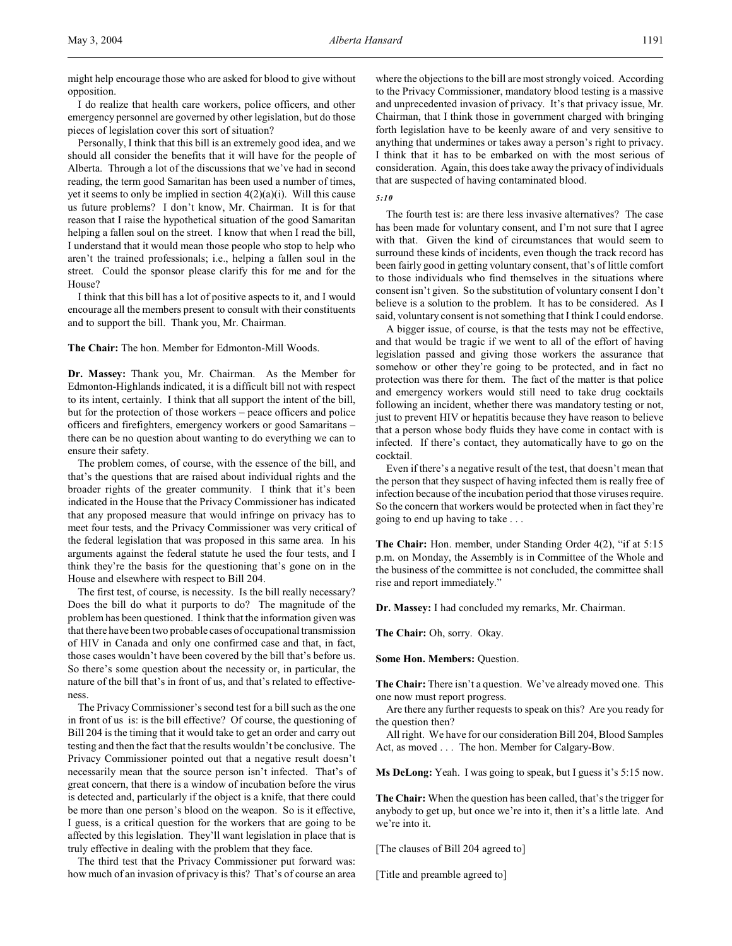might help encourage those who are asked for blood to give without opposition.

I do realize that health care workers, police officers, and other emergency personnel are governed by other legislation, but do those pieces of legislation cover this sort of situation?

Personally, I think that this bill is an extremely good idea, and we should all consider the benefits that it will have for the people of Alberta. Through a lot of the discussions that we've had in second reading, the term good Samaritan has been used a number of times, yet it seems to only be implied in section  $4(2)(a)(i)$ . Will this cause us future problems? I don't know, Mr. Chairman. It is for that reason that I raise the hypothetical situation of the good Samaritan helping a fallen soul on the street. I know that when I read the bill, I understand that it would mean those people who stop to help who aren't the trained professionals; i.e., helping a fallen soul in the street. Could the sponsor please clarify this for me and for the House?

I think that this bill has a lot of positive aspects to it, and I would encourage all the members present to consult with their constituents and to support the bill. Thank you, Mr. Chairman.

**The Chair:** The hon. Member for Edmonton-Mill Woods.

**Dr. Massey:** Thank you, Mr. Chairman. As the Member for Edmonton-Highlands indicated, it is a difficult bill not with respect to its intent, certainly. I think that all support the intent of the bill, but for the protection of those workers – peace officers and police officers and firefighters, emergency workers or good Samaritans – there can be no question about wanting to do everything we can to ensure their safety.

The problem comes, of course, with the essence of the bill, and that's the questions that are raised about individual rights and the broader rights of the greater community. I think that it's been indicated in the House that the Privacy Commissioner has indicated that any proposed measure that would infringe on privacy has to meet four tests, and the Privacy Commissioner was very critical of the federal legislation that was proposed in this same area. In his arguments against the federal statute he used the four tests, and I think they're the basis for the questioning that's gone on in the House and elsewhere with respect to Bill 204.

The first test, of course, is necessity. Is the bill really necessary? Does the bill do what it purports to do? The magnitude of the problem has been questioned. I think that the information given was that there have been two probable cases of occupational transmission of HIV in Canada and only one confirmed case and that, in fact, those cases wouldn't have been covered by the bill that's before us. So there's some question about the necessity or, in particular, the nature of the bill that's in front of us, and that's related to effectiveness.

The Privacy Commissioner's second test for a bill such as the one in front of us is: is the bill effective? Of course, the questioning of Bill 204 is the timing that it would take to get an order and carry out testing and then the fact that the results wouldn't be conclusive. The Privacy Commissioner pointed out that a negative result doesn't necessarily mean that the source person isn't infected. That's of great concern, that there is a window of incubation before the virus is detected and, particularly if the object is a knife, that there could be more than one person's blood on the weapon. So is it effective, I guess, is a critical question for the workers that are going to be affected by this legislation. They'll want legislation in place that is truly effective in dealing with the problem that they face.

The third test that the Privacy Commissioner put forward was: how much of an invasion of privacy is this? That's of course an area where the objections to the bill are most strongly voiced. According to the Privacy Commissioner, mandatory blood testing is a massive and unprecedented invasion of privacy. It's that privacy issue, Mr. Chairman, that I think those in government charged with bringing forth legislation have to be keenly aware of and very sensitive to anything that undermines or takes away a person's right to privacy. I think that it has to be embarked on with the most serious of consideration. Again, this does take away the privacy of individuals that are suspected of having contaminated blood.

#### *5:10*

The fourth test is: are there less invasive alternatives? The case has been made for voluntary consent, and I'm not sure that I agree with that. Given the kind of circumstances that would seem to surround these kinds of incidents, even though the track record has been fairly good in getting voluntary consent, that's of little comfort to those individuals who find themselves in the situations where consent isn't given. So the substitution of voluntary consent I don't believe is a solution to the problem. It has to be considered. As I said, voluntary consent is not something that I think I could endorse.

A bigger issue, of course, is that the tests may not be effective, and that would be tragic if we went to all of the effort of having legislation passed and giving those workers the assurance that somehow or other they're going to be protected, and in fact no protection was there for them. The fact of the matter is that police and emergency workers would still need to take drug cocktails following an incident, whether there was mandatory testing or not, just to prevent HIV or hepatitis because they have reason to believe that a person whose body fluids they have come in contact with is infected. If there's contact, they automatically have to go on the cocktail.

Even if there's a negative result of the test, that doesn't mean that the person that they suspect of having infected them is really free of infection because of the incubation period that those viruses require. So the concern that workers would be protected when in fact they're going to end up having to take . . .

**The Chair:** Hon. member, under Standing Order 4(2), "if at 5:15 p.m. on Monday, the Assembly is in Committee of the Whole and the business of the committee is not concluded, the committee shall rise and report immediately."

**Dr. Massey:** I had concluded my remarks, Mr. Chairman.

**The Chair:** Oh, sorry. Okay.

**Some Hon. Members:** Question.

**The Chair:** There isn't a question. We've already moved one. This one now must report progress.

Are there any further requests to speak on this? Are you ready for the question then?

All right. We have for our consideration Bill 204, Blood Samples Act, as moved . . . The hon. Member for Calgary-Bow.

**Ms DeLong:** Yeah. I was going to speak, but I guess it's 5:15 now.

**The Chair:** When the question has been called, that's the trigger for anybody to get up, but once we're into it, then it's a little late. And we're into it.

[The clauses of Bill 204 agreed to]

[Title and preamble agreed to]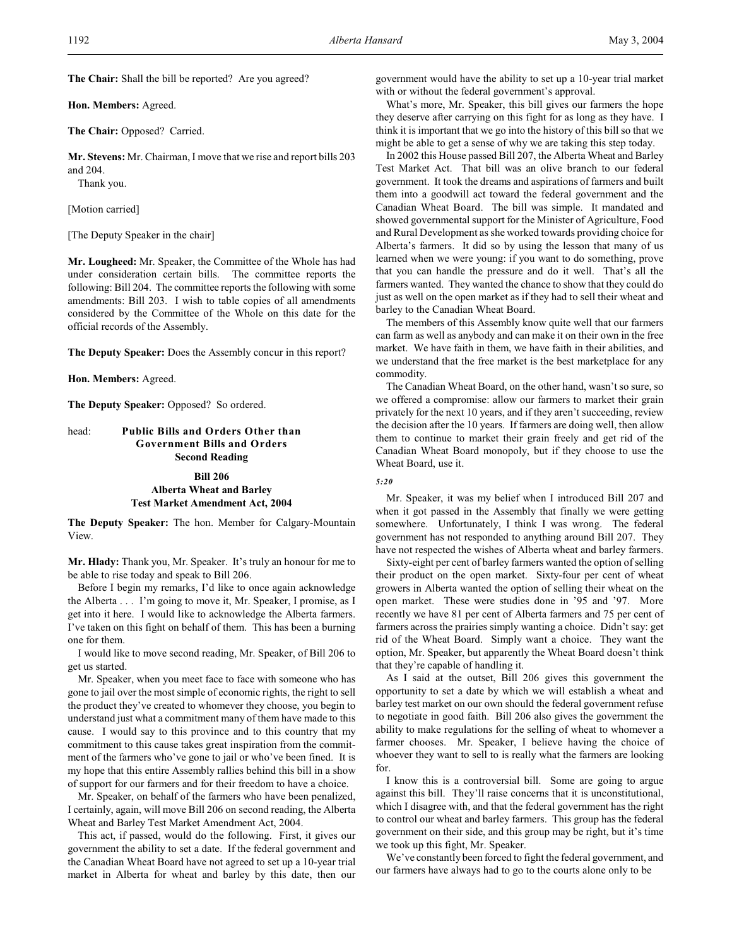**The Chair:** Shall the bill be reported? Are you agreed?

**Hon. Members:** Agreed.

**The Chair:** Opposed? Carried.

**Mr. Stevens:** Mr. Chairman, I move that we rise and report bills 203 and 204.

Thank you.

[Motion carried]

[The Deputy Speaker in the chair]

**Mr. Lougheed:** Mr. Speaker, the Committee of the Whole has had under consideration certain bills. The committee reports the following: Bill 204. The committee reports the following with some amendments: Bill 203. I wish to table copies of all amendments considered by the Committee of the Whole on this date for the official records of the Assembly.

**The Deputy Speaker:** Does the Assembly concur in this report?

**Hon. Members:** Agreed.

**The Deputy Speaker:** Opposed? So ordered.

## head: **Public Bills and Orders Other than Government Bills and Orders Second Reading**

## **Bill 206 Alberta Wheat and Barley Test Market Amendment Act, 2004**

**The Deputy Speaker:** The hon. Member for Calgary-Mountain View.

**Mr. Hlady:** Thank you, Mr. Speaker. It's truly an honour for me to be able to rise today and speak to Bill 206.

Before I begin my remarks, I'd like to once again acknowledge the Alberta . . . I'm going to move it, Mr. Speaker, I promise, as I get into it here. I would like to acknowledge the Alberta farmers. I've taken on this fight on behalf of them. This has been a burning one for them.

I would like to move second reading, Mr. Speaker, of Bill 206 to get us started.

Mr. Speaker, when you meet face to face with someone who has gone to jail over the most simple of economic rights, the right to sell the product they've created to whomever they choose, you begin to understand just what a commitment many of them have made to this cause. I would say to this province and to this country that my commitment to this cause takes great inspiration from the commitment of the farmers who've gone to jail or who've been fined. It is my hope that this entire Assembly rallies behind this bill in a show of support for our farmers and for their freedom to have a choice.

Mr. Speaker, on behalf of the farmers who have been penalized, I certainly, again, will move Bill 206 on second reading, the Alberta Wheat and Barley Test Market Amendment Act, 2004.

This act, if passed, would do the following. First, it gives our government the ability to set a date. If the federal government and the Canadian Wheat Board have not agreed to set up a 10-year trial market in Alberta for wheat and barley by this date, then our government would have the ability to set up a 10-year trial market with or without the federal government's approval.

What's more, Mr. Speaker, this bill gives our farmers the hope they deserve after carrying on this fight for as long as they have. I think it is important that we go into the history of this bill so that we might be able to get a sense of why we are taking this step today.

In 2002 this House passed Bill 207, the Alberta Wheat and Barley Test Market Act. That bill was an olive branch to our federal government. It took the dreams and aspirations of farmers and built them into a goodwill act toward the federal government and the Canadian Wheat Board. The bill was simple. It mandated and showed governmental support for the Minister of Agriculture, Food and Rural Development as she worked towards providing choice for Alberta's farmers. It did so by using the lesson that many of us learned when we were young: if you want to do something, prove that you can handle the pressure and do it well. That's all the farmers wanted. They wanted the chance to show that they could do just as well on the open market as if they had to sell their wheat and barley to the Canadian Wheat Board.

The members of this Assembly know quite well that our farmers can farm as well as anybody and can make it on their own in the free market. We have faith in them, we have faith in their abilities, and we understand that the free market is the best marketplace for any commodity.

The Canadian Wheat Board, on the other hand, wasn't so sure, so we offered a compromise: allow our farmers to market their grain privately for the next 10 years, and if they aren't succeeding, review the decision after the 10 years. If farmers are doing well, then allow them to continue to market their grain freely and get rid of the Canadian Wheat Board monopoly, but if they choose to use the Wheat Board, use it.

#### *5:20*

Mr. Speaker, it was my belief when I introduced Bill 207 and when it got passed in the Assembly that finally we were getting somewhere. Unfortunately, I think I was wrong. The federal government has not responded to anything around Bill 207. They have not respected the wishes of Alberta wheat and barley farmers.

Sixty-eight per cent of barley farmers wanted the option of selling their product on the open market. Sixty-four per cent of wheat growers in Alberta wanted the option of selling their wheat on the open market. These were studies done in '95 and '97. More recently we have 81 per cent of Alberta farmers and 75 per cent of farmers across the prairies simply wanting a choice. Didn't say: get rid of the Wheat Board. Simply want a choice. They want the option, Mr. Speaker, but apparently the Wheat Board doesn't think that they're capable of handling it.

As I said at the outset, Bill 206 gives this government the opportunity to set a date by which we will establish a wheat and barley test market on our own should the federal government refuse to negotiate in good faith. Bill 206 also gives the government the ability to make regulations for the selling of wheat to whomever a farmer chooses. Mr. Speaker, I believe having the choice of whoever they want to sell to is really what the farmers are looking for.

I know this is a controversial bill. Some are going to argue against this bill. They'll raise concerns that it is unconstitutional, which I disagree with, and that the federal government has the right to control our wheat and barley farmers. This group has the federal government on their side, and this group may be right, but it's time we took up this fight, Mr. Speaker.

We've constantly been forced to fight the federal government, and our farmers have always had to go to the courts alone only to be